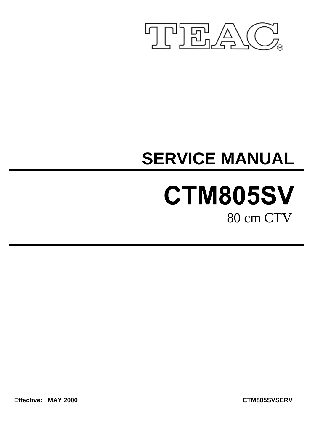

# **SERVICE MANUAL**

# CTM805SV 80 cm CTV

**Effective: MAY 2000 CTM805SVSERV**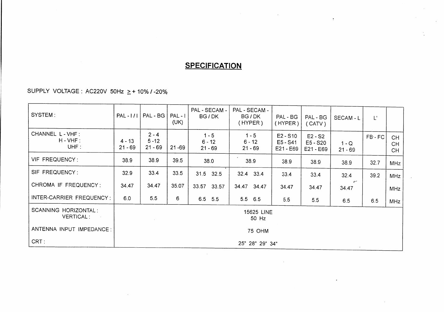## **SPECIFICATION**

 $\epsilon$ 

SUPPLY VOLTAGE : AC220V 50Hz  $\geq$  + 10% / -20%

| SYSTEM:                                  | $PAL - 111$           | $PAL - BG$                       | $PAL - I$<br>(UK) | PAL - SECAM -<br>BG/DK           | PAL - SECAM -<br>BG/DK<br>(HYPER) | PAL - BG<br>(HYPER)                   | PAL - BG<br>(CATV)                 | SECAM - L                       | $L^{\prime}$ |                               |
|------------------------------------------|-----------------------|----------------------------------|-------------------|----------------------------------|-----------------------------------|---------------------------------------|------------------------------------|---------------------------------|--------------|-------------------------------|
| CHANNEL L - VHF :<br>$H - VHF:$<br>UHF:  | $4 - 13$<br>$21 - 69$ | $2 - 4$<br>$5 - 12$<br>$21 - 69$ | $21 - 69$         | $1 - 5$<br>$6 - 12$<br>$21 - 69$ | $1 - 5$<br>$6 - 12$<br>$21 - 69$  | $E2 - S10$<br>$E5 - S41$<br>E21 - E69 | $E2 - S2$<br>E5 - S20<br>E21 - E69 | $1 - Q$<br>$21 - 69$            | FB-FC        | <b>CH</b><br><b>CH</b><br>CH. |
| VIF FREQUENCY:                           | 38.9                  | 38.9                             | 39.5              | 38.0                             | 38.9                              | 38.9                                  | 38.9                               | 38.9                            | 32.7         | <b>MHz</b>                    |
| SIF FREQUENCY:                           | 32.9                  | 33.4                             | 33.5              | 31.5 32.5                        | 32.4 33.4                         | 33.4                                  | 33.4                               | 32.4                            | 39.2         | <b>MHz</b>                    |
| CHROMA IF FREQUENCY:                     | 34.47                 | 34.47                            | 35.07             | 33.57 33.57                      | 34.47 34.47                       | 34.47                                 | 34.47                              | $\mathcal{C}^{\prime}$<br>34.47 |              | <b>MHz</b>                    |
| INTER-CARRIER FREQUENCY:                 | 6.0                   | 5.5                              | 6                 | $6.5$ $5.5$                      | $5.5$ 6.5                         | 5.5                                   | 5.5                                | 6.5                             | 6.5          | <b>MHz</b>                    |
| SCANNING HORIZONTAL:<br><b>VERTICAL:</b> |                       | 15625 LINE<br>50 Hz              |                   |                                  |                                   |                                       |                                    |                                 |              |                               |
| ANTENNA INPUT IMPEDANCE:                 |                       | 75 OHM                           |                   |                                  |                                   |                                       |                                    |                                 |              |                               |
| CRT:                                     |                       | 25" 28" 29" 34"                  |                   |                                  |                                   |                                       |                                    |                                 |              |                               |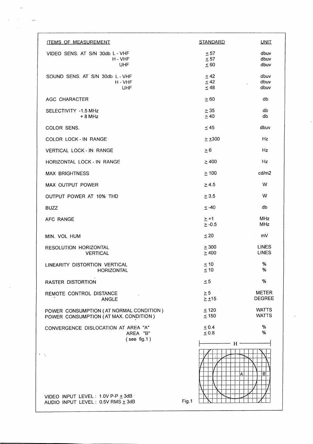| <b>ITEMS OF MEASUREMENT</b>                                                      | <b>STANDARD</b>                     | <u>UNIT</u>                   |
|----------------------------------------------------------------------------------|-------------------------------------|-------------------------------|
| VIDEO SENS. AT S/N 30db L - VHF<br>$H - VHF$<br><b>UHF</b>                       | $\leq 57$<br>$\leq 57$<br>$\leq 60$ | dbuv<br>dbuv<br>dbuv          |
| SOUND SENS. AT S/N 30db L - VHF<br>$H - VHF$<br><b>UHF</b>                       | $\leq 42$<br>$\leq 42$<br>$\leq 48$ | dbuv<br>dbuv<br>dbuv          |
| AGC CHARACTER                                                                    | $\geq 60$                           | db                            |
| SELECTIVITY -1.5 MHz<br>$+8$ MHz                                                 | $\geq$ 35<br>$\geq 40$              | db<br>db                      |
| COLOR SENS.                                                                      | $\leq 45$                           | dbuv                          |
| COLOR LOCK - IN RANGE                                                            | $\geq \pm 300$                      | Hz                            |
| VERTICAL LOCK - IN RANGE                                                         | $\geq 6$                            | Hz                            |
| HORIZONTAL LOCK - IN RANGE                                                       | $\geq 400$                          | Ήz                            |
| <b>MAX BRIGHTNESS</b>                                                            | $\geq 100$                          | cd/m2                         |
| MAX OUTPUT POWER                                                                 | $\geq 4.5$                          | W                             |
| OUTPUT POWER AT 10% THD                                                          | $\geq$ 3.5                          | W                             |
| <b>BUZZ</b>                                                                      | $\leq -40$                          | db                            |
| AFC RANGE                                                                        | $\geq$ +1<br>$\geq -0.5$            | MHz<br><b>MHz</b>             |
| MIN. VOL HUM                                                                     | $\leq 20$                           | mV                            |
| RESOLUTION HORIZONTAL<br><b>VERTICAL</b>                                         | $\geq$ 300<br>$\geq 400$            | LINES<br><b>LINES</b>         |
| LINEARITY DISTORTION VERTICAL<br>HORIZONTAL                                      | $\leq 10$<br>$\leq 10$              | %<br>%                        |
| <b>RASTER DISTORTION</b>                                                         | $\leq 5$                            | %                             |
| REMOTE CONTROL DISTANCE<br><b>ANGLE</b>                                          | $\geq 5$<br>$\geq \pm 15$           | <b>METER</b><br><b>DEGREE</b> |
| POWER CONSUMPTION (AT NORMAL CONDITION)<br>POWER CONSUMPTION (AT MAX. CONDITION) | $\leq$ 120<br>$\leq 150$            | <b>WATTS</b><br><b>WATTS</b>  |
| CONVERGENCE DISLOCATION AT AREA "A"<br>AREA "B"<br>$($ see fig.1 $)$             | $\leq 0.4$<br>$\leq 0.8$            | $\%$<br>%                     |
| VIDEO INPUT LEVEL: 1.0V P-P ± 3dB<br>AUDIO INPUT LEVEL: 0.5V RMS ± 3dB           | $H^+$<br>Α<br>Fig.1                 | в                             |
|                                                                                  |                                     |                               |

 $\bar{\mathcal{A}}$ 

 $\bar{z}$ 

 $\sim 300$  km  $^{-1}$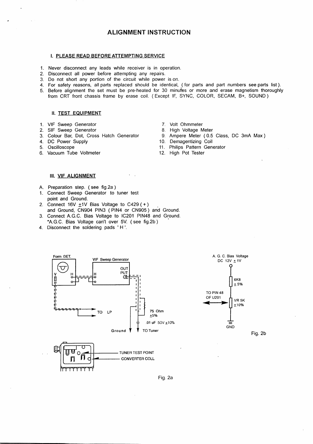#### **ALIGNMENT INSTRUCTION**

#### I. PLEASE READ BEFORE ATTEMPTING SERVICE

- 1. Never disconnect any leads while receiver is in operation.
- 2. Disconnect all power before attempting any repairs.
- 3. Do not short any portion of the circuit while power is on.
- 4. For safety reasons, all parts replaced should be identical, (for parts and part numbers see parts list).
- 5. Before alignment the set must be pre-heated for 30 minutes or more and erase magnetism thoroughly from CRT front chassis frame by erase coil. (Except IF, SYNC, COLOR, SECAM, B+, SOUND)

#### **II. TEST EQUIPMENT**

- 1. VIF Sweep Generator
- 2. SIF Sweep Generator
- 3. Colour Bar, Dot, Cross Hatch Generator
- 4. DC Power Supply
- 5. Oscilloscope
- 6. Vacuum Tube Voltmeter
- 7. Volt Ohmmeter
- 8. High Voltage Meter
- 9. Ampere Meter (0.5 Class, DC 3mA Max)
- 10. Demagentizing Coil
- 11. Philips Pattern Generator
- 12. High Pot Tester

#### III. VIF ALIGNMENT

- A. Preparation step. (see fig.2a)
- 1. Connect Sweep Generator to tuner test point and Ground.
- 2. Connect  $16V \pm 1V$  Bias Voltage to C429 (+)<br>and Ground, CN904 PIN3 (PIN4 or CN905) and Ground.
- 3. Connect A.G.C. Bias Voltage to IC201 PIN48 and Ground. \*A.G.C. Bias Voltage can't over 5V. (see fig.2b)
- 4. Disconnect the soldering pads 'H'.





Fig. 2b

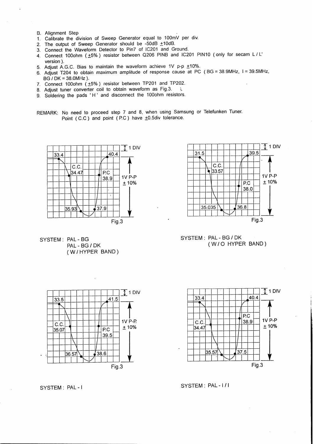- **B.** Alignment Step
- 1. Calibrate the division of Sweep Generator equal to 100mV per div.
- The output of Sweep Generator should be -50dB  $\pm$ 10dB.  $2<sup>1</sup>$
- 3. Connect the Waveform Detector to Pin7 of IC201 and Ground.
- 4. Connect 100ohm (±5%) resistor between Q206 PINB and IC201 PIN10 (only for secam L/L' version).
- 5. Adjust A.G.C. Bias to maintain the waveform achieve 1V p-p ±10%.
- 6. Adjust T204 to obtain maximum amplitude of response cause at PC (BG = 38.9MHz, I = 39.5MHz,  $BG/DK = 38.0MHz$ ).
- 7. Connect 100ohm  $(\pm 5\%)$  resistor between TP201 and TP202.
- 8. Adjust tuner converter coil to obtain waveform as Fig.3.  $\mathcal{L}$
- 9. Soldering the pads 'H' and disconnect the 100ohm resistors.
- REMARK: No need to proceed step 7 and 8, when using Samsung or Telefunken Tuner. Point (C.C) and point (P.C) have +0.5div tolerance.

 $\overline{\mathbb{T}}$  1 DIV

1V P-P

 $+10%$ 

41.5

P.C

38.6

39.5

Fig.3







SYSTEM: PAL-BG / DK (W/O HYPER BAND)



SYSTEM: PAL-1/1

SYSTEM: PAL-I

36.57

 $33.5$ 

 $C.C$ 

35.07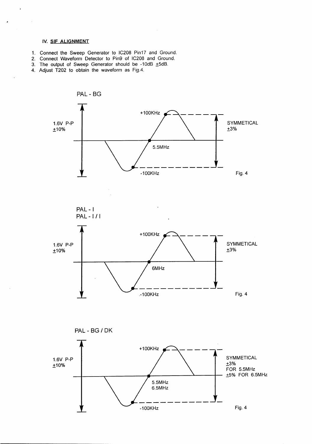#### IV. SIF ALIGNMENT

 $\ddot{\phantom{0}}$ 

 $\sim$ 

 $\ddot{\phantom{0}}$ 

- 1. Connect the Sweep Generator to IC208 Pin17 and Ground.
- 2. Connect Waveform Detector to Pin9 of IC208 and Ground.
- 3. The output of Sweep Generator should be -10dB +5dB.
- 4. Adjust T202 to obtain the waveform as Fig.4.

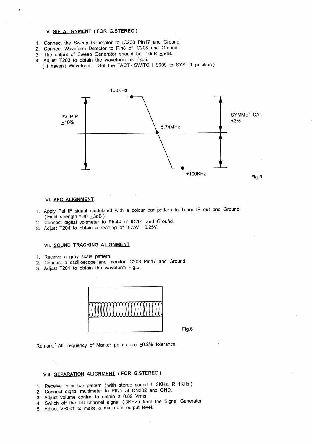#### V. SIF ALIGNMENT (FOR G.STEREO)

- 1. Connect the Sweep Generator to IC208 Pin17 and Ground.
- 2. Connect Waveform Detector to Pin8 of IC208 and Ground.
- 3. The output of Sweep Generator should be -10dB +5dB.
- 4. Adjust T203 to obtain the waveform as Fig.5.
- (If haven't Waveform. Set the TACT SWITCH S609 to SYS 1 position)

![](_page_6_Figure_6.jpeg)

#### VI. AFC ALIGNMENT

- 1. Apply Pal IF signal modulated with a colour bar pattern to Tuner IF out and Ground. (Field strength =  $80 \pm 3$ dB)
- 2. Connect digital voltmeter to Pin44 of IC201 and Ground.
- 3. Adjust T204 to obtain a reading of 3.75V ±0.25V.

#### VII. SOUND TRACKING ALIGNMENT

- 1. Receive a gray scale pattern.
- 2. Connect a oscilloscope and monitor IC208 Pin17 and Ground.
- 3. Adjust T201 to obtain the waveform Fig.6.

![](_page_6_Figure_15.jpeg)

Fig.6

Remark: All frequency of Marker points are ±0.2% tolerance.

### VIII. SEPARATION ALIGNMENT (FOR G.STEREO)

- 1. Receive color bar pattern (with stereo sound L 3KHz, R 1KHz)
- 2. Connect digital multimeter to PIN1 at CN302 and GND.
- 3. Adjust volume control to obtain a 0.89 Vrms.
- 4. Switch off the left channel signal (3KHz) from the Signal Generator.
- 5. Adjust VR001 to make a minimum output level.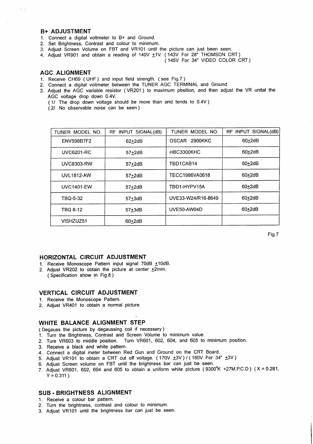#### **B+ ADJUSTMENT**

- 1. Connect a digital voltmeter to B+ and Ground.
- 2. Set Brightness, Contrast and colour to minimum.
- 3. Adjust Screen Volume on FBT and VR101 until the picture can just been seen.
- 4. Adjust VR901 and obtain a reading of 140V ±1V. (143V For 28" THOMSON CRT)

(145V For 34" VIDEO COLOR CRT)

#### **AGC ALIGNMENT**

- 1. Receive CH69 (UHF) and input field strength. (see Fig.7)
- 2. Connect a digital voltmeter between the TUNER AGC TERMINAL and Ground.
- 3. Adjust the AGC variable resistor (VR201) to maximum position, and then adjust the VR unital the AGC voltage drop down 0.4V.
	- (1/ The drop down voltage should be more than and tends to 0.4V)
	- (2/ No observable noise can be seen)

| TUNER MODEL NO.   | RF INPUT SIGNAL(dB) | TUNER MODEL NO.         | RF INPUT SIGNAL(dB) |
|-------------------|---------------------|-------------------------|---------------------|
| <b>ENV598B7F2</b> | $62+2dB$            | <b>OSCAR</b><br>2900KKC | $60+2dB$            |
| <b>UVC6201-RC</b> | $57+2dB$            | HBC3300KHC              | $60+2dB$            |
| <b>UVC8303-RW</b> | $57+2dB$            | TBD1CAB14               | $60+2dB$            |
| <b>UVL1812-AW</b> | $57+2dB$            | TECC1986VA0618          | $60+2dB$            |
| <b>UVC1401-EW</b> | $57+2dB$            | TBD1-HYPV15A            | $60+2dB$            |
| TBQ-5-32          | $57+3dB$            | UVE33-W24/R16-8649      | $60+2dB$            |
| TBQ 8-12          | $57+3dB$            | UVE50-AW04D             | $60+2dB$            |
| VISHZUZ51         | $60+2dB$            |                         |                     |

Fig.7

#### HORIZONTAL CIRCUIT ADJUSTMENT

- 1. Receive Monoscope Pattern input signal 70dB ±10dB.
- 2. Adiust VR202 to obtain the picture at center  $\pm 2$ mm. (Specification show in Fig.8)

#### **VERTICAL CIRCUIT ADJUSTMENT**

- 1. Receive the Monoscope Pattern.
- 2. Adjust VR401 to obtain a normal picture.

#### WHITE BALANCE ALIGNMENT STEP

- (Degauss the picture by degaussing coil if necessary)
- 1. Turn the Brightness, Contrast and Screen Volume to minimum value.
- 2. Ture VR603 to middle position. Turn VR601, 602, 604, and 605 to minimum position.
- 3. Receive a black and white pattern.
- 4. Connect a digital meter between Red Gun and Ground on the CRT Board.
- 5. Adjust VR101 to obtain a CRT cut off voltage. (170V  $\pm$ 3V) / (180V For 34"  $\pm$ 3V)
- 6. Adjust Screen volume on FBT until the brightness bar can just be seen.
- 7. Adjust VR601, 602, 604 and 605 to obtain a uniform white picture (9300°K +27M.P.C.D) (X = 0.281,  $Y = 0.311$ ).

#### **SUB - BRIGHTNESS ALIGNMENT**

- 1. Receive a colour bar pattern.
- 2. Turn the brightness, contrast and colour to minimum.
- 3. Adjust VR101 until the brightness bar can just be seen.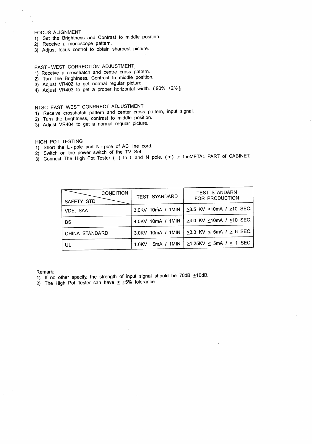#### **FOCUS ALIGNMENT**

- 1) Set the Brightness and Contrast to middle position.<br>2) Receive a monoscope pattern.
- 
- 3) Adjust focus control to obtain sharpest picture.

#### EAST - WEST CORRECTION ADJUSTMENT

- 1) Receive a crosshatch and centre cross pattern.
- 2) Turn the Brightness, Contrast to middle position.
- 3) Adjust VR402 to get normal regular picture.
- 4) Adjust VR403 to get a proper horizontal width. (90% +2%)

### NTSC EAST WEST CONRRECT ADJUSTMENT

- 1) Receive crosshatch pattern and center cross pattern, input signal.
- 2) Turn the brightness, contrast to middle position.
- 3) Adjust VR404 to get a normal reqular picture.

#### HIGH POT TESTING

- 1) Short the L-pole and N-pole of AC line cord.
- 2) Switch on the power switch of the TV Set.
- 3) Connect The High Pot Tester (-) to L and N pole, (+) to theMETAL PART of CABINET.

| <b>CONDITION</b><br>SAFETY STD. | <b>TEST SYANDARD</b>            | <b>TEST STANDARN</b><br>FOR PRODUCTION     |
|---------------------------------|---------------------------------|--------------------------------------------|
| VDE, SAA                        | 3.0KV 10mA / 1MIN               | $\geq$ 3.5 KV $\leq$ 10mA / $\geq$ 10 SEC. |
| <b>BS</b>                       | 4.0KV 10mA / 1MIN               | $\geq$ 4.0 KV ≤10mA / $\geq$ 10 SEC.       |
| CHINA STANDARD                  | 3.0KV 10mA / 1MIN               | $\geq$ 3.3 KV $\leq$ 5mA / $\geq$ 6 SEC.   |
| UL                              | 5mA / 1MIN<br>1.0 <sub>KV</sub> | $\geq$ 1.25KV $\leq$ 5mA / $\geq$ 1 SEC.   |

Remark:

- 1) If no other specify, the strength of input signal should be 70dB ±10dB.
- 2) The High Pot Tester can have  $\leq$  +5% tolerance.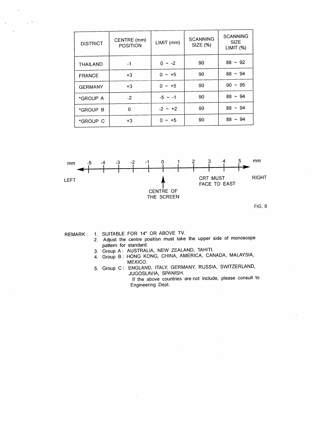| <b>DISTRICT</b> | CENTRE (mm)<br>LIMIT (mm)<br><b>POSITION</b> |           | <b>SCANNING</b><br><b>SIZE (%)</b> | <b>SCANNING</b><br><b>SIZE</b><br>LIMIT(%) |
|-----------------|----------------------------------------------|-----------|------------------------------------|--------------------------------------------|
| <b>THAILAND</b> | -1                                           | $0 - -2$  | 90                                 | $88 - 92$                                  |
| <b>FRANCE</b>   | $+3$                                         | $0 - +5$  | 90                                 | $88 - 94$                                  |
| <b>GERMANY</b>  | $+3$                                         | $0 - +5$  | 90                                 | $90 - 95$                                  |
| *GROUP A        | $-2$                                         | $-5 - 1$  | 90                                 | $88 - 94$                                  |
| *GROUP B        | 0                                            | $-2 - 12$ | 90                                 | $88 - 94$                                  |
| *GROUP C        | $+3$                                         | $0 - +5$  | 90                                 | $88 - 94$                                  |

![](_page_9_Figure_1.jpeg)

REMARK: 1. SUITABLE FOR 14" OR ABOVE TV.

- 2. Adjust the centre position must take the upper side of monoscope pattern for standard.
	- 3. Group A: AUSTRALIA, NEW ZEALAND, TAHITI.
	- 4. Group B: HONG KONG, CHINA, AMERICA, CANADA, MALAYSIA, MEXICO.
	- 5. Group C: ENGLAND, ITALY, GERMANY, RUSSIA, SWITZERLAND, JUGOSLAVIA, SPANISH. If the above countries are not include, please consult to Engineering Dept.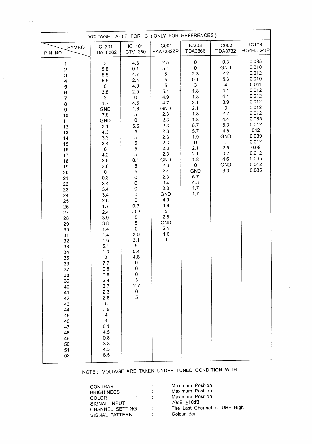| VOLTAGE TABLE FOR IC (ONLY FOR REFERENCES)                                                                                                                                                                                                                                                                                                                                                    |                                                                                                                                                                                                                                                                                                                                                                                                                                                             |                                                                                                                                                                                                                                                                                                                                                                         |                                                                                                                                                                                                                                                                                      |                                                                                                                                                                                   |                                                                                                                                                                          |                                                                                                                                                                               |  |
|-----------------------------------------------------------------------------------------------------------------------------------------------------------------------------------------------------------------------------------------------------------------------------------------------------------------------------------------------------------------------------------------------|-------------------------------------------------------------------------------------------------------------------------------------------------------------------------------------------------------------------------------------------------------------------------------------------------------------------------------------------------------------------------------------------------------------------------------------------------------------|-------------------------------------------------------------------------------------------------------------------------------------------------------------------------------------------------------------------------------------------------------------------------------------------------------------------------------------------------------------------------|--------------------------------------------------------------------------------------------------------------------------------------------------------------------------------------------------------------------------------------------------------------------------------------|-----------------------------------------------------------------------------------------------------------------------------------------------------------------------------------|--------------------------------------------------------------------------------------------------------------------------------------------------------------------------|-------------------------------------------------------------------------------------------------------------------------------------------------------------------------------|--|
| <b>SYMBOL</b><br>PIN NO.                                                                                                                                                                                                                                                                                                                                                                      | IC 201<br>TDA 8362                                                                                                                                                                                                                                                                                                                                                                                                                                          | IC 101<br>CTV 350                                                                                                                                                                                                                                                                                                                                                       | <b>IC001</b><br>SAA7282ZP                                                                                                                                                                                                                                                            | <b>IC208</b><br><b>TDA3866</b>                                                                                                                                                    | <b>IC002</b><br><b>TDA8732</b>                                                                                                                                           | IC103<br>PC74HCT241P                                                                                                                                                          |  |
| 1<br>$\mathbf 2$<br>3<br>$\overline{\mathbf{4}}$<br>$\mathbf 5$<br>$\boldsymbol{6}$<br>$\boldsymbol{7}$<br>$\bf 8$<br>9<br>10<br>11<br>12<br>13<br>14<br>15<br>16<br>17<br>18<br>19<br>20<br>21<br>22<br>23<br>24<br>25<br>26<br>27<br>28<br>29<br>$30\,$<br>31<br>32<br>33<br>34<br>35<br>36<br>37<br>38<br>39<br>40<br>41<br>42<br>43<br>44<br>45<br>46<br>47<br>48<br>49<br>50<br>51<br>52 | 3<br>5.8<br>5.8<br>$5.5\,$<br>$\mathbf 0$<br>3.8<br>3<br>1.7<br>GND<br>$7.8$<br><b>GND</b><br>3.1<br>4.3<br>3.3<br>3.4<br>$\pmb{0}$<br>4.2<br>2.8<br>2.8<br>$\pmb{0}$<br>0.3<br>3.4<br>3.4<br>3.4.<br>2.6<br>1.7<br>2.4<br>3.9<br>3.8<br>1.4<br>1.4<br>1.6<br>5.1<br>1.3<br>$\overline{c}$<br>7.7<br>0.5<br>0.6<br>2.4<br>3.7<br>2.3<br>2.8<br>5<br>3.9<br>$\overline{\mathbf{4}}$<br>$\overline{\mathbf{4}}$<br>8.1<br>4.5<br>$0.8\,$<br>3.3<br>4.3<br>6.5 | 4.3<br>0.1<br>4.7<br>2.4<br>4.9<br>2.5<br>$\mathsf{O}\xspace$<br>4.5<br>1.6<br>5<br>0<br>5.6<br>5<br>5<br>5<br>5<br>5<br>0.1<br>5<br>$\mathbf 5$<br>$\mathbf 0$<br>$\mathbf 0$<br>0<br>0<br>$\pmb{0}$<br>0.3<br>$-0.3$<br>5<br>5<br>$\pmb{0}$<br>2.6<br>2.1<br>$\overline{5}$<br>5.4<br>4.8<br>0<br>$\mathbf 0$<br>$\pmb{0}$<br>3<br>2.7<br>$\pmb{0}$<br>5 <sup>2</sup> | 2.5<br>5.1<br>$\sqrt{5}$<br>$\mathfrak s$<br>5<br>5.1<br>4.9<br>4.7<br><b>GND</b><br>2.3<br>2.3<br>2.3<br>2.3<br>2.3<br>2.3<br>2.3<br>2.3<br>GND<br>2.3<br>2.4<br>2.3<br>0.4<br>2.3<br><b>GND</b><br>4.9<br>4.9<br>5 <sup>5</sup><br>2.5<br><b>GND</b><br>2.1<br>1.6<br>$\mathbf{1}$ | $\pmb{0}$<br>$\pmb{0}$<br>2.3<br>0.1<br>3<br>1.8<br>1.8<br>2.1<br>2.1<br>1.8<br>1.8<br>5.7<br>5.7<br>1.9<br>0<br>2.1<br>2.1<br>1.8<br>0<br><b>GND</b><br>6.7<br>4.3<br>1.7<br>1.7 | 0.3<br><b>GND</b><br>2.2<br>5.3<br>$\overline{\mathbf{4}}$<br>4.1<br>4.1<br>3.9<br>3<br>2.2<br>4.4<br>5.3<br>4.5<br><b>GND</b><br>1.1<br>2.5<br>0.2<br>4.6<br>GND<br>3.3 | 0.085<br>0.010<br>0.012<br>0.010<br>0.011<br>0.012<br>0.012<br>0.012<br>0.012<br>0.012<br>0.085<br>0.012<br>012<br>0.089<br>0.012<br>0.09<br>0.012<br>0.095<br>0.012<br>0.085 |  |

 $\sim 20\%$ 

 $\label{eq:2} \frac{1}{\sqrt{2}}\sum_{\substack{\mathbf{q} \in \mathbb{Z}^3\\ \mathbf{q} \in \mathbb{Z}^3}} \frac{1}{\sqrt{2}}\sum_{\substack{\mathbf{q} \in \mathbb{Z}^3\\ \mathbf{q} \in \mathbb{Z}^3}} \frac{1}{\sqrt{2}}\sum_{\substack{\mathbf{q} \in \mathbb{Z}^3\\ \mathbf{q} \in \mathbb{Z}^3}} \frac{1}{\sqrt{2}}\sum_{\substack{\mathbf{q} \in \mathbb{Z}^3\\ \mathbf{q} \in \mathbb{Z}^3}} \frac{1}{\sqrt{2}}\sum_{$ 

NOTE: VOLTAGE ARE TAKEN UNDER TUNED CONDITION WITH

| CONTRAST        |                             | Maximum Position             |
|-----------------|-----------------------------|------------------------------|
| BRIGHINESS      | ÷                           | Maximum Position             |
| COLOR.          | ÷                           | Maximum Position             |
| SIGNAL INPUT    | $\mathcal{L}^{\mathcal{L}}$ | 70dB +10dB                   |
| CHANNEL SETTING | ÷                           | The Last Channel of UHF High |
| SIGNAL PATTERN  |                             | Colour Bar                   |
|                 |                             |                              |

 $\ddot{\phantom{0}}$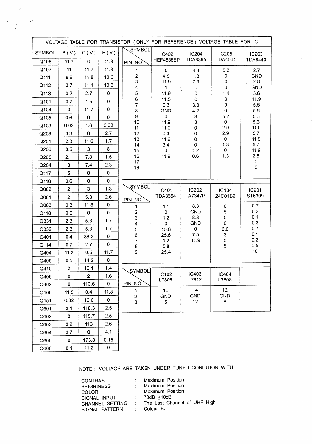| VOLTAGE TABLE FOR TRANSISTOR (ONLY FOR REFERENCE) VOLTAGE TABLE FOR IC |                |                |              |                              |                              |                               |                                |                   |
|------------------------------------------------------------------------|----------------|----------------|--------------|------------------------------|------------------------------|-------------------------------|--------------------------------|-------------------|
| <b>SYMBOL</b>                                                          | B(V)           | C(V)           | E(V)         | SYMBOL                       | IC402                        | IC204<br><b>TDA8395</b>       | <b>IC205</b><br><b>TDA4661</b> | <b>IC203</b>      |
| Q108                                                                   | 11.7           | $\mathbf 0$    | 11.8         | PIN NO.                      | <b>HEF4538BP</b>             |                               |                                | <b>TDA8440</b>    |
| Q107                                                                   | 11             | 11.7           | 11.8         | $\mathbf{1}$                 | 0                            | 4.4                           | 5.2                            | 2.7               |
| Q111                                                                   | 9.9            | 11.8           | 10.6         | $\boldsymbol{z}$<br>3        | 4.9<br>11.9                  | 1.3<br>7.9                    | 0<br>0                         | <b>GND</b><br>2.8 |
| Q112                                                                   | 2.7            | 11.1           | 10.6         | 4                            | $\mathbf{1}$                 | 0                             | $\boldsymbol{0}$               | <b>GND</b>        |
| Q113                                                                   | 0.2            | 2.7            | $\pmb{0}$    | 5                            | 11.9                         | $\pmb{0}$                     | 1.4                            | 5.6               |
| Q101                                                                   | 0.7            | 1.5            | 0            | 6<br>$\overline{7}$          | 11.5<br>0.3                  | $\pmb{0}$<br>3.3              | 0<br>0                         | 11.9<br>5.6       |
| Q104                                                                   | 0              | 11.7           | 0            | 8                            | <b>GND</b>                   | 4.2                           | 0                              | 5.6               |
| Q105                                                                   | 0.6            | 0              | 0            | 9                            | 0                            | 3                             | 5.2                            | 5.6               |
| Q103                                                                   | 0.02           | 4.6            | 0.02         | 10<br>11                     | 11.9<br>11.9                 | 3<br>0                        | 0<br>2.9                       | 5.6<br>11.9       |
| Q208                                                                   | 3.3            | 8              | 2.7          | 12                           | 0.3                          | $\mathbf 0$                   | 2.9                            | 5.7               |
| Q201                                                                   | 2.3            | 11.6           | 1.7          | 13<br>14                     | 11.9<br>3.4                  | 0<br>$\mathbf 0$              | 0<br>1.3                       | 11.9<br>5.7       |
| Q206                                                                   | 8.5            | 3              | 8            | 15                           | 0                            | 1.2                           | 0                              | 11.9              |
| Q205                                                                   | 2.1            | 7.8            | 1.5          | 16                           | 11.9                         | 0.6                           | 1.3                            | $2.5\,$           |
| Q204                                                                   | 3              | 7.4            | 2.3          | 17<br>18                     |                              |                               |                                | 0<br>$\mathbf{0}$ |
| Q117                                                                   | 5              | $\pmb{0}$      | 0            |                              |                              |                               |                                |                   |
| Q116                                                                   | 0.6            | 0              | $\mathbf 0$  |                              |                              |                               |                                |                   |
| Q002                                                                   | $\overline{c}$ | 3              | 1.3          | SYMBOL                       | IC401                        | IC202                         | IC104                          | <b>IC901</b>      |
| Q001                                                                   | $\overline{2}$ | 5.3            | 2.6          | PIN NO.                      | <b>TDA3654</b>               | <b>TA7347P</b>                | 24C01B2                        | ST6309            |
| Q003                                                                   | 0.3            | 11.8           | $\mathbf 0$  | $\mathbf{1}$                 | 1.1<br>÷.                    | 8.3                           | 0                              | 0.7               |
| Q118                                                                   | 0.6            | $\mathbf 0$    | $\mathbf 0$  | $\overline{\mathbf{c}}$      | 0                            | <b>GND</b>                    | 5                              | 0.2               |
| Q331                                                                   | 2.3            | 5.3            | 1.7          | 3<br>$\overline{\mathbf{4}}$ | 1.2<br>0                     | 8.3<br><b>GND</b>             | $\mathbf 0$<br>0               | 0.1<br>0.3        |
| Q332                                                                   | 2.3            | 5.3            | 1.7          | 5                            | 15.6                         | $\mathbf 0$                   | 2.6<br>3<br>5<br>5             | 0.7               |
| Q401                                                                   | 0.4            | 38.2           | 0            | 6                            | 25.6                         | 7.5                           |                                | 0.1<br>0.2        |
| Q114                                                                   | 0.7            | 2.7            | $\mathbf 0$  | $\overline{7}$<br>8          | 1.2<br>5.8                   | 11.9                          |                                | 0.5               |
| Q404                                                                   | 11.2           | 0.5            | 11.7         | 9                            | 25.4                         |                               |                                | 10 <sub>1</sub>   |
| Q405                                                                   | 0.5            | 14.2           | 0            |                              |                              |                               |                                |                   |
| Q410                                                                   | $\mathbf{2}$   | 10.1           | 1.4          | SYMBOL                       |                              |                               |                                |                   |
| Q406                                                                   | $\pmb{0}$      | $\overline{2}$ | 1.6          |                              | IC102                        | IC403                         | IC404                          |                   |
| Q402                                                                   | $\mathbf 0$    | 113.6          | $\mathbf{O}$ | PIN NO.                      | L7805                        | L7812                         | L7808                          |                   |
| Q106                                                                   | 11.5           | 0.4            | 11.8         | $\mathbf 1$                  | 10 <sub>1</sub>              | 14                            | 12 <sup>°</sup>                |                   |
| Q151                                                                   | 0.02           | 10.6           | $\mathbf 0$  | $2+$<br>$\overline{3}$       | <b>GND</b><br>5 <sub>5</sub> | <b>GND</b><br>12 <sub>2</sub> | <b>GND</b><br>8                |                   |
| Q601                                                                   | 3.1            | 118.3          | 2.5          |                              |                              |                               |                                |                   |
| Q602                                                                   | $\mathbf{3}$   | 119.7          | 2.5          |                              |                              |                               |                                |                   |
| Q603                                                                   | 3.2            | 113            | 2.6          |                              |                              |                               |                                |                   |
| Q604                                                                   | 3.7            | $\mathbf 0$    | 4.1          |                              |                              |                               |                                |                   |
| Q605                                                                   | $\mathbf 0$    | 173.8          | 0.15         |                              |                              |                               |                                |                   |
| Q606                                                                   | 0.1            | 11.2           | 0            |                              |                              |                               |                                |                   |

 $\ddot{\phantom{1}}$ 

NOTE: VOLTAGE ARE TAKEN UNDER TUNED CONDITION WITH

| <b>CONTRAST</b>   |                           | : Maximum Position             |
|-------------------|---------------------------|--------------------------------|
| <b>BRIGHINESS</b> | $\mathbb{R}^{\mathbb{Z}}$ | Maximum Position               |
| <b>COLOR</b>      |                           | : Maximum Position             |
| SIGNAL INPUT      |                           | $: 70dB + 10dB$                |
| CHANNEL SETTING   |                           | : The Last Channel of UHF High |
| SIGNAL PATTERN    |                           | : Colour Bar                   |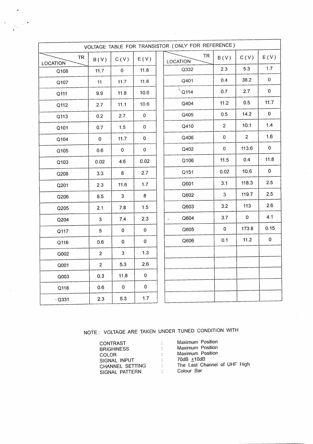| VOLTAGE TABLE FOR TRANSISTOR (ONLY FOR REFERENCE) |                |              |              |  |                              |                |                |                             |
|---------------------------------------------------|----------------|--------------|--------------|--|------------------------------|----------------|----------------|-----------------------------|
| <b>TR</b><br><b>LOCATION</b>                      | B(V)           | C(V)         | E(V)         |  | <b>TR</b><br><b>LOCATION</b> | B(V)           | C(V)           | E(V)                        |
| Q108                                              | 11.7           | $\pmb{0}$    | 11.8         |  | Q332                         | 2.3            | 5.3            | 1.7                         |
| Q107                                              | 11             | 11.7         | 11.8         |  | Q401                         | 0.4            | 38.2           | $\mathbf 0$                 |
| Q111                                              | 9.9            | 11.8         | 10.6         |  | $\frac{1}{6}$ Q114           | 0.7            | 2.7            | $\mathbf 0$                 |
| Q112                                              | 2.7            | 11.1         | 10.6         |  | Q404                         | 11.2           | 0.5            | 11.7                        |
| Q113                                              | 0.2            | 2.7          | $\mathbf 0$  |  | Q405                         | 0.5            | 14.2           | $\mathbf 0$                 |
| Q101                                              | 0.7            | $1.5$        | $\mathbf 0$  |  | Q410                         | $\overline{2}$ | 10.1           | 1.4                         |
| Q104                                              | $\mathbf 0$    | 11.7         | $\pmb{0}$    |  | Q406                         | $\mathbf 0$    | $\overline{2}$ | 1.6                         |
| Q105                                              | 0.6            | $\mathbf 0$  | $\mathbf 0$  |  | Q402                         | $\mathbf 0$    | 113.6          | $\mathbf 0$                 |
| Q103                                              | 0.02           | 4.6          | 0.02         |  | Q106                         | 11.5           | 0.4            | 11.8<br>$\hat{\mathcal{C}}$ |
| Q208                                              | 3.3            | 8            | 2.7          |  | Q151                         | 0.02           | 10.6           | $\mathbf 0$                 |
| Q201                                              | 2.3            | 11.6         | 1.7          |  | Q601                         | 3.1            | 118.3          | 2.5                         |
| Q206                                              | 8.5            | $\mathbf{3}$ | 8            |  | Q602                         | 3              | 119.7          | 2.5                         |
| Q205                                              | 2.1            | $\bf 7.8$    | 1.5          |  | Q603                         | 3.2            | 113            | 2.6                         |
| Q204                                              | $\overline{3}$ | 7.4          | 2.3          |  | Q604<br>$\ddot{\phantom{a}}$ | 3.7            | $\mathbf 0$    | 4.1                         |
| Q117                                              | $\overline{5}$ | $\pmb{0}$    | $\mathbf 0$  |  | Q605                         | $\pmb{0}$      | 173.8          | 0.15                        |
| Q116                                              | 0.6            | $\pmb{0}$    | $\mathbf{0}$ |  | Q606                         | 0.1            | 11.2           | $\mathbf 0$                 |
| Q002                                              | $\overline{2}$ | 3            | 1.3          |  |                              |                |                |                             |
| Q001                                              | $\overline{2}$ | 5.3          | 2.6          |  |                              |                |                |                             |
| Q003                                              | 0.3            | 11.8         | $\pmb{0}$    |  |                              |                |                |                             |
| Q118                                              | 0.6            | $\mathbf 0$  | $\mathbf 0$  |  |                              |                |                |                             |
| $\cdot$ Q331                                      | 2.3            | 5.3          | $1.7$        |  |                              |                |                |                             |

 $\mathcal{A}^{\pm}$ 

 $\mathcal{A}^{\mathcal{A}}$ 

 $\overline{\phantom{a}}$ 

# NOTE: VOLTAGE ARE TAKEN UNDER TUNED CONDITION WITH

| <b>CONTRAST</b><br><b>BRIGHINESS</b><br><b>COLOR</b><br>SIGNAL INPUT<br>CHANNEL SETTING | ٠  | Maximum Position<br>Maximum Position<br>Maximum Position<br>70dB $±10$ dB<br>The Last Channel of UHF High |
|-----------------------------------------------------------------------------------------|----|-----------------------------------------------------------------------------------------------------------|
| SIGNAL PATTERN                                                                          | ٠. | Colour Bar                                                                                                |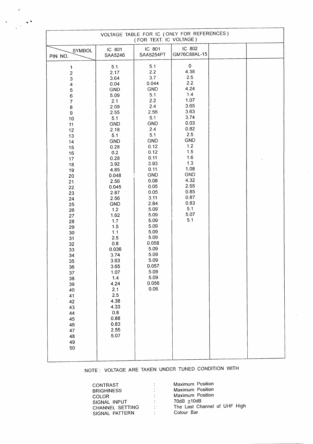| VOLTAGE TABLE FOR IC (ONLY FOR REFERENCES)<br>(FOR TEXT. IC VOLTAGE)                                                                                                                                                                                                                                                                                                  |                                                                                                                                                                                                                                                                                                                                                                                                        |                                                                                                                                                                                                                                                                                                                            |                                                                                                                                                                                                                              |  |  |  |  |
|-----------------------------------------------------------------------------------------------------------------------------------------------------------------------------------------------------------------------------------------------------------------------------------------------------------------------------------------------------------------------|--------------------------------------------------------------------------------------------------------------------------------------------------------------------------------------------------------------------------------------------------------------------------------------------------------------------------------------------------------------------------------------------------------|----------------------------------------------------------------------------------------------------------------------------------------------------------------------------------------------------------------------------------------------------------------------------------------------------------------------------|------------------------------------------------------------------------------------------------------------------------------------------------------------------------------------------------------------------------------|--|--|--|--|
| SYMBOL<br>PIN NO.                                                                                                                                                                                                                                                                                                                                                     | IC 801<br>SAA5246                                                                                                                                                                                                                                                                                                                                                                                      | IC 801<br>SAA5254PT                                                                                                                                                                                                                                                                                                        | IC 802<br>GM76C88AL-15                                                                                                                                                                                                       |  |  |  |  |
| 1<br>$\boldsymbol{2}$<br>3<br>$\overline{\mathbf{4}}$<br>5<br>6<br>$\overline{\mathcal{I}}$<br>8<br>$\mathbf 9$<br>10<br>11<br>12<br>13<br>14<br>15<br>16<br>17<br>18<br>19<br>20<br>21<br>22<br>23<br>24<br>25<br>26<br>27<br>28<br>29<br>30<br>31<br>32<br>33<br>34<br>35<br>36<br>37<br>38<br>39<br>40<br>41<br>42<br>43<br>44<br>45<br>46<br>47<br>48<br>49<br>50 | 5.1<br>2.17<br>3.64<br>0.04<br><b>GND</b><br>5.09<br>2.1<br>2.09<br>2.55<br>5.1<br><b>GND</b><br>2.18<br>5.1<br>GND<br>0.28<br>$0.2\,$<br>0.28<br>3.92<br>4.85<br>0.048<br>2.56<br>0.045<br>2.87<br>2.56<br>GND<br>$1.2\,$<br>1.62<br>1.7<br>1.5<br>1.1<br>2.5<br>0.8<br>0.036<br>3.74<br>3.63<br>3.65<br>1.07<br>1.4<br>4.24<br>2.1<br>2.5<br>4.38<br>4.33<br>$0.8\,$<br>0.88<br>0.83<br>2.55<br>5.07 | 5.1<br>2.2<br>3.7<br>0.044<br>GND<br>5.1<br>2.2<br>2.4<br>2.56<br>5.1<br>GND<br>2.4<br>5.1<br><b>GND</b><br>0.12<br>0.12<br>0.11<br>3.93<br>0.11<br>GND<br>0.08<br>0.05<br>0.05<br>3.11<br>2.84<br>5.09<br>5.09<br>5.09<br>5.09<br>5.09<br>5.09<br>0.058<br>5.09<br>5.09<br>5.09<br>0.057<br>5.09<br>5.09<br>0.056<br>0.06 | $\pmb{0}$<br>4.38<br>2.5<br>2.2<br>4.24<br>1.4<br>1.07<br>3.65<br>3.63<br>3.74<br>0.03<br>0.82<br>2.5<br><b>GND</b><br>1.2<br>1.5<br>1.6<br>1.3<br>1.08<br>GND<br>4.32<br>2.55<br>0.85<br>0.87<br>0.83<br>5.1<br>5.07<br>5.1 |  |  |  |  |

 $\mathcal{A}^{\mathcal{A}}$ 

 $\mathbb{R}^2$ 

 $\sim 10^{11}$ 

 $\label{eq:2} \frac{d}{dt} \sum_{i=1}^n \frac{d}{dt} \left( \frac{d}{dt} \right)^2 \frac{d\theta}{dt} \, .$ 

NOTE: VOLTAGE ARE TAKEN UNDER TUNED CONDITION WITH

| CONTRAST          | $\mathbb{R}^n$            | Maximum Position             |
|-------------------|---------------------------|------------------------------|
| <b>BRIGHINESS</b> | ÷                         | <b>Maximum Position</b>      |
| COLOR.            | $\mathbb{Z}^{\times}$     | Maximum Position             |
| SIGNAL INPUT      | $\mathbb{Z}^{\mathbb{Z}}$ | 70dB $\pm$ 10dB              |
| CHANNEL SETTING   | ÷.                        | The Last Channel of UHF High |
| SIGNAL PATTERN    |                           | Colour Bar                   |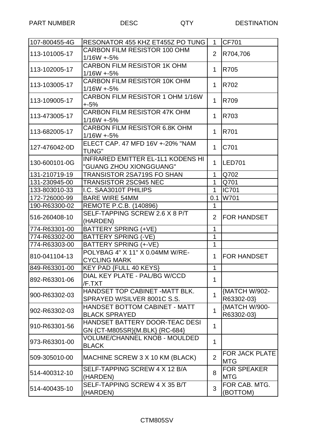| 107-800455-4G | RESONATOR 455 KHZ ET455Z PO TUNG         | $\mathbf{1}$   | <b>CF701</b>          |
|---------------|------------------------------------------|----------------|-----------------------|
| 113-101005-17 | <b>CARBON FILM RESISTOR 100 OHM</b>      |                |                       |
|               | $1/16W + 5%$                             | $\overline{2}$ | R704,706              |
| 113-102005-17 | <b>CARBON FILM RESISTOR 1K OHM</b>       |                |                       |
|               | $1/16W + 5%$                             | $\mathbf 1$    | R705                  |
|               | <b>CARBON FILM RESISTOR 10K OHM</b>      |                |                       |
| 113-103005-17 | $1/16W + 5%$                             | $\mathbf 1$    | R702                  |
| 113-109005-17 | CARBON FILM RESISTOR 1 OHM 1/16W         | $\mathbf 1$    | R709                  |
|               | $+5%$                                    |                |                       |
| 113-473005-17 | <b>CARBON FILM RESISTOR 47K OHM</b>      | $\mathbf 1$    | R703                  |
|               | $1/16W + 5%$                             |                |                       |
| 113-682005-17 | <b>CARBON FILM RESISTOR 6.8K OHM</b>     | $\mathbf 1$    | R701                  |
|               | $1/16W + 5%$                             |                |                       |
| 127-476042-0D | ELECT CAP. 47 MFD 16V +-20% "NAM         | $\mathbf{1}$   | C701                  |
|               | <b>TUNG"</b>                             |                |                       |
| 130-600101-0G | <b>INFRARED EMITTER EL-1L1 KODENS HI</b> | $\mathbf 1$    | LED701                |
|               | "GUANG ZHOU XIONGGUANG"                  |                |                       |
| 131-210719-19 | TRANSISTOR 2SA719S FO SHAN               | 1              | Q702                  |
| 131-230945-00 | <b>TRANSISTOR 2SC945 NEC</b>             | $\mathbf{1}$   | Q701                  |
| 133-803010-33 | I.C. SAA3010T PHILIPS                    | $\mathbf{1}$   | <b>IC701</b>          |
| 172-726000-99 | <b>BARE WIRE 54MM</b>                    | 0.1            | W701                  |
| 190-R63300-02 | REMOTE P.C.B. (140896)                   | $\mathbf{1}$   |                       |
|               | SELF-TAPPING SCREW 2.6 X 8 P/T           | 2              |                       |
| 516-260408-10 | (HARDEN)                                 |                | <b>FOR HANDSET</b>    |
| 774-R63301-00 | <b>BATTERY SPRING (+VE)</b>              | 1              |                       |
| 774-R63302-00 | <b>BATTERY SPRING (-VE)</b>              | 1              |                       |
| 774-R63303-00 | <b>BATTERY SPRING (+-VE)</b>             | 1              |                       |
|               | POLYBAG 4" X 11" X 0.04MM W/RE-          |                |                       |
| 810-041104-13 | <b>CYCLING MARK</b>                      | $\mathbf{1}$   | <b>FOR HANDSET</b>    |
| 849-R63301-00 | KEY PAD {FULL 40 KEYS}                   | $\mathbf{1}$   |                       |
|               | DIAL KEY PLATE - PAL/BG W/CCD            |                |                       |
| 892-R63301-06 | /F.TXT                                   | 1              |                       |
|               | HANDSET TOP CABINET -MATT BLK.           |                | {MATCH W/902-         |
| 900-R63302-03 | SPRAYED W/SILVER 8001C S.S.              | $\mathbf{1}$   | R63302-03}            |
|               | <b>HANDSET BOTTOM CABINET - MATT</b>     |                | {MATCH W/900-         |
| 902-R63302-03 | <b>BLACK SPRAYED</b>                     | $\mathbf{1}$   | R63302-03}            |
|               | HANDSET BATTERY DOOR-TEAC DESI           |                |                       |
| 910-R63301-56 | GN {CT-M805SR}{M.BLK} {RC-684}           | 1              |                       |
|               | VOLUME/CHANNEL KNOB - MOULDED            |                |                       |
| 973-R63301-00 | <b>BLACK</b>                             | 1              |                       |
|               |                                          |                |                       |
| 509-305010-00 | MACHINE SCREW 3 X 10 KM (BLACK)          | 2              | <b>FOR JACK PLATE</b> |
|               |                                          |                | <b>MTG</b>            |
| 514-400312-10 | SELF-TAPPING SCREW 4 X 12 B/A            | 8              | <b>FOR SPEAKER</b>    |
|               | (HARDEN)                                 |                | <b>MTG</b>            |
| 514-400435-10 | SELF-TAPPING SCREW 4 X 35 B/T            | 3              | FOR CAB. MTG.         |
|               | (HARDEN)                                 |                | (BOTTOM)              |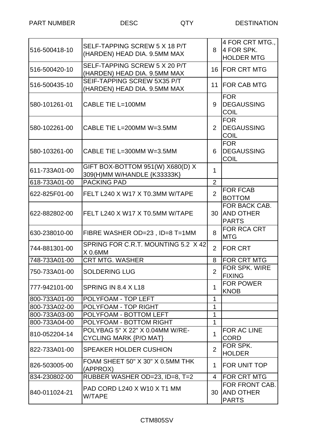| 516-500418-10 | SELF-TAPPING SCREW 5 X 18 P/T<br>(HARDEN) HEAD DIA. 9.5MM MAX    | 8              | 4 FOR CRT MTG.,<br>4 FOR SPK.<br><b>HOLDER MTG</b> |
|---------------|------------------------------------------------------------------|----------------|----------------------------------------------------|
| 516-500420-10 | SELF-TAPPING SCREW 5 X 20 P/T<br>(HARDEN) HEAD DIA. 9.5MM MAX    | 16             | <b>FOR CRT MTG</b>                                 |
| 516-500435-10 | SEIF-TAPPING SCREW 5X35 P/T<br>(HARDEN) HEAD DIA. 9.5MM MAX      | 11             | <b>FOR CAB MTG</b>                                 |
| 580-101261-01 | CABLE TIE L=100MM                                                | 9              | <b>FOR</b><br><b>DEGAUSSING</b><br><b>COIL</b>     |
| 580-102261-00 | CABLE TIE L=200MM W=3.5MM                                        | $\overline{2}$ | <b>FOR</b><br><b>DEGAUSSING</b><br><b>COIL</b>     |
| 580-103261-00 | CABLE TIE L=300MM W=3.5MM                                        | 6              | <b>FOR</b><br><b>DEGAUSSING</b><br><b>COIL</b>     |
| 611-733A01-00 | GIFT BOX-BOTTOM 951(W) X680(D) X<br>309(H)MM W/HANDLE {K33333K}  | 1              |                                                    |
| 618-733A01-00 | <b>PACKING PAD</b>                                               | $\overline{2}$ |                                                    |
| 622-825F01-00 | FELT L240 X W17 X T0.3MM W/TAPE                                  | $\overline{2}$ | <b>FOR FCAB</b><br><b>BOTTOM</b>                   |
| 622-882802-00 | IFELT L240 X W17 X T0.5MM W/TAPE                                 | 30             | FOR BACK CAB.<br><b>AND OTHER</b><br><b>PARTS</b>  |
| 630-238010-00 | FIBRE WASHER OD=23, ID=8 T=1MM                                   | 8              | <b>FOR RCA CRT</b><br><b>MTG</b>                   |
| 744-881301-00 | SPRING FOR C.R.T. MOUNTING 5.2 X 42<br>$X$ 0.6MM                 | $\overline{2}$ | <b>FOR CRT</b>                                     |
| 748-733A01-00 | <b>CRT MTG. WASHER</b>                                           | 8              | <b>FOR CRT MTG</b>                                 |
| 750-733A01-00 | <b>SOLDERING LUG</b>                                             | $\overline{2}$ | FOR SPK. WIRE<br><b>FIXING</b>                     |
| 777-942101-00 | SPRING IN 8.4 X L18                                              | 1              | <b>FOR POWER</b><br><b>KNOB</b>                    |
| 800-733A01-00 | POLYFOAM - TOP LEFT                                              | 1              |                                                    |
| 800-733A02-00 | POLYFOAM - TOP RIGHT                                             | 1              |                                                    |
| 800-733A03-00 | POLYFOAM - BOTTOM LEFT                                           | 1              |                                                    |
| 800-733A04-00 | POLYFOAM - BOTTOM RIGHT                                          | 1              |                                                    |
| 810-052204-14 | POLYBAG 5" X 22" X 0.04MM W/RE-<br><b>CYCLING MARK {P/O MAT}</b> | 1              | FOR AC LINE<br><b>CORD</b>                         |
| 822-733A01-00 | <b>SPEAKER HOLDER CUSHION</b>                                    | $\overline{2}$ | FOR SPK.<br><b>HOLDER</b>                          |
| 826-503005-00 | FOAM SHEET 50" X 30" X 0.5MM THK<br>(APPROX)                     | $\mathbf 1$    | FOR UNIT TOP                                       |
| 834-230802-00 | RUBBER WASHER OD=23, ID=8, T=2                                   | 4              | <b>FOR CRT MTG</b>                                 |
| 840-011024-21 | PAD CORD L240 X W10 X T1 MM<br>W/TAPE                            | 30             | FOR FRONT CAB.<br><b>AND OTHER</b><br><b>PARTS</b> |
|               |                                                                  |                |                                                    |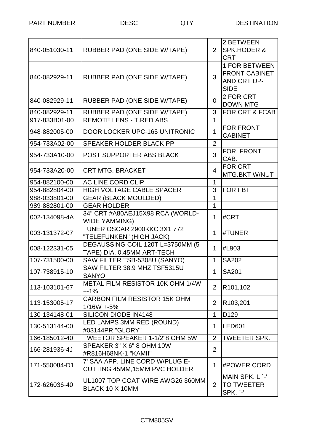| 840-051030-11 | RUBBER PAD (ONE SIDE W/TAPE)                                     | $\overline{2}$ | 2 BETWEEN<br><b>SPK.HODER &amp;</b><br><b>CRT</b>                          |
|---------------|------------------------------------------------------------------|----------------|----------------------------------------------------------------------------|
| 840-082929-11 | RUBBER PAD (ONE SIDE W/TAPE)                                     | 3              | <b>1 FOR BETWEEN</b><br><b>FRONT CABINET</b><br>AND CRT UP-<br><b>SIDE</b> |
| 840-082929-11 | RUBBER PAD (ONE SIDE W/TAPE)                                     | $\Omega$       | 2 FOR CRT<br><b>DOWN MTG</b>                                               |
| 840-082929-11 | RUBBER PAD (ONE SIDE W/TAPE)                                     | 3              | <b>FOR CRT &amp; FCAB</b>                                                  |
| 917-833B01-00 | <b>REMOTE LENS - T.RED ABS</b>                                   | 1              |                                                                            |
| 948-882005-00 | DOOR LOCKER UPC-165 UNITRONIC                                    | 1              | <b>FOR FRONT</b><br><b>CABINET</b>                                         |
| 954-733A02-00 | SPEAKER HOLDER BLACK PP                                          | $\overline{2}$ |                                                                            |
| 954-733A10-00 | POST SUPPORTER ABS BLACK                                         | 3              | FOR FRONT<br>CAB.                                                          |
| 954-733A20-00 | <b>CRT MTG. BRACKET</b>                                          | 4              | <b>FOR CRT</b><br><b>MTG.BKT W/NUT</b>                                     |
| 954-882100-00 | AC LINE CORD CLIP                                                | $\mathbf{1}$   |                                                                            |
| 954-882804-00 | <b>HIGH VOLTAGE CABLE SPACER</b>                                 | 3              | <b>FOR FBT</b>                                                             |
| 988-033801-00 | <b>GEAR (BLACK MOULDED)</b>                                      | 1              |                                                                            |
| 989-882801-00 | <b>GEAR HOLDER</b>                                               | 1              |                                                                            |
| 002-134098-4A | 34" CRT #A80AEJ15X98 RCA (WORLD-<br><b>WIDE YAMMING)</b>         | 1              | #CRT                                                                       |
| 003-131372-07 | <b>TUNER OSCAR 2900KKC 3X1 772</b><br>"TELEFUNKEN" (HIGH JACK)   | 1              | #TUNER                                                                     |
| 008-122331-05 | DEGAUSSING COIL 120T L=3750MM (5<br>TAPE) DIA. 0.45MM ART-TECH   | 1              | #L903                                                                      |
| 107-731500-00 | SAW FILTER TSB-5308U (SANYO)                                     | 1              | <b>SA202</b>                                                               |
| 107-738915-10 | SAW FILTER 38.9 MHZ TSF5315U<br><b>SANYO</b>                     | 1              | <b>SA201</b>                                                               |
| 113-103101-67 | METAL FILM RESISTOR 10K OHM 1/4W<br>$+ -1%$                      | $\overline{2}$ | R <sub>101</sub> ,102                                                      |
| 113-153005-17 | <b>CARBON FILM RESISTOR 15K OHM</b><br>$1/16W + 5%$              | $\overline{2}$ | R103,201                                                                   |
| 130-134148-01 | SILICON DIODE IN4148                                             | $\mathbf{1}$   | D <sub>129</sub>                                                           |
| 130-513144-00 | LED LAMPS 3MM RED (ROUND)<br>#03144PR "GLORY"                    | 1              | <b>LED601</b>                                                              |
| 166-185012-40 | TWEETOR SPEAKER 1-1/2"8 OHM 5W                                   | $\overline{2}$ | <b>TWEETER SPK.</b>                                                        |
| 166-281936-4J | SPEAKER 3" X 6" 8 OHM 10W<br>#R816H68NK-1 "KAMII"                | $\overline{2}$ |                                                                            |
| 171-550084-D1 | 7' SAA APP. LINE CORD W/PLUG E-<br>CUTTING 45MM, 15MM PVC HOLDER | $\mathbf 1$    | #POWER CORD                                                                |
| 172-626036-40 | UL1007 TOP COAT WIRE AWG26 360MM<br>BLACK 10 X 10MM              | 2              | MAIN SPK. L `-'<br><b>TO TWEETER</b><br>SPK. `-'                           |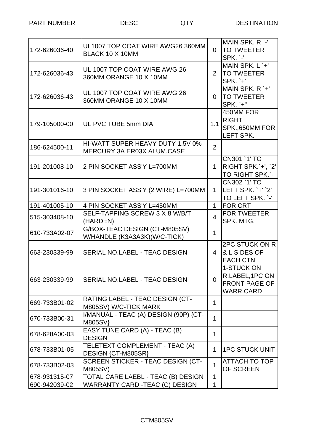PART NUMBER DESC DESTINATION

| 172-626036-40 | UL1007 TOP COAT WIRE AWG26 360MM<br>BLACK 10 X 10MM            | 0              | MAIN SPK, R `-'<br><b>TO TWEETER</b><br>SPK. `-'                          |
|---------------|----------------------------------------------------------------|----------------|---------------------------------------------------------------------------|
| 172-626036-43 | UL 1007 TOP COAT WIRE AWG 26<br>360MM ORANGE 10 X 10MM         | $\overline{2}$ | MAIN SPK. L `+'<br><b>TO TWEETER</b><br><b>SPK.</b> `+'                   |
| 172-626036-43 | UL 1007 TOP COAT WIRE AWG 26<br>360MM ORANGE 10 X 10MM         | 0              | $\overline{MAIN}$ SPK, R `+'<br><b>TO TWEETER</b><br><b>SPK.</b> `+"      |
| 179-105000-00 | UL PVC TUBE 5mm DIA                                            | 1.1            | 450MM FOR<br><b>RIGHT</b><br>SPK.,650MM FOR<br>LEFT SPK.                  |
| 186-624500-11 | HI-WATT SUPER HEAVY DUTY 1.5V 0%<br>MERCURY 3A ER03X ALUM.CASE | $\overline{2}$ |                                                                           |
| 191-201008-10 | 2 PIN SOCKET ASS'Y L=700MM                                     | $\mathbf 1$    | CN301 `1' TO<br>RIGHT SPK.'+', `2'<br>TO RIGHT SPK.`-'                    |
| 191-301016-10 | 3 PIN SOCKET ASS'Y (2 WIRE) L=700MM                            | $\mathbf 1$    | CN302 `1' TO<br>lLEFT SPK.`+'`2'<br>TO LEFT SPK. `-'                      |
| 191-401005-10 | 4 PIN SOCKET ASS'Y L=450MM                                     | $\mathbf{1}$   | <b>FOR CRT</b>                                                            |
| 515-303408-10 | SELF-TAPPING SCREW 3 X 8 W/B/T<br>(HARDEN)                     | 4              | <b>FOR TWEETER</b><br>SPK. MTG.                                           |
| 610-733A02-07 | G/BOX-TEAC DESIGN (CT-M805SV)<br>W/HANDLE (K3A3A3K)(W/C-TICK)  | $\mathbf{1}$   |                                                                           |
| 663-230339-99 | SERIAL NO.LABEL - TEAC DESIGN                                  | 4              | 2PC STUCK ON R<br>& L SIDES OF<br><b>EACH CTN</b>                         |
| 663-230339-99 | <b>SERIAL NO.LABEL - TEAC DESIGN</b>                           | $\Omega$       | 1-STUCK ON<br>R.LABEL, 1PC ON<br><b>FRONT PAGE OF</b><br><b>WARR.CARD</b> |
| 669-733B01-02 | RATING LABEL - TEAC DESIGN (CT-<br>M805SV) W/C-TICK MARK       | 1              |                                                                           |
| 670-733B00-31 | I/MANUAL - TEAC (A) DESIGN (90P) {CT-<br>M805SV}               | 1              |                                                                           |
| 678-628A00-03 | EASY TUNE CARD (A) - TEAC (B)<br><b>DESIGN</b>                 | 1              |                                                                           |
| 678-733B01-05 | TELETEXT COMPLEMENT - TEAC (A)<br>DESIGN {CT-M805SR}           | 1              | <b>1PC STUCK UNIT</b>                                                     |
| 678-733B02-03 | SCREEN STICKER - TEAC DESIGN (CT-<br>M805SV)                   | $\mathbf{1}$   | <b>ATTACH TO TOP</b><br>OF SCREEN                                         |
| 678-931315-07 | TOTAL CARE LAEBL - TEAC (B) DESIGN                             | $\mathbf{1}$   |                                                                           |
| 690-942039-02 | WARRANTY CARD -TEAC (C) DESIGN                                 | 1              |                                                                           |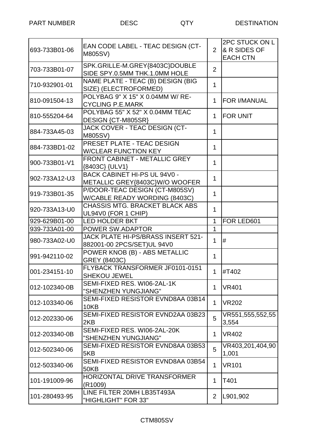| 693-733B01-06 | EAN CODE LABEL - TEAC DESIGN (CT-<br><b>M805SV)</b>              | 2              | 2PC STUCK ON L<br>& R SIDES OF<br><b>EACH CTN</b> |
|---------------|------------------------------------------------------------------|----------------|---------------------------------------------------|
| 703-733B01-07 | SPK.GRILLE-M.GREY{8403C}DOUBLE<br>SIDE SPY.0.5MM THK.1.0MM HOLE  | 2              |                                                   |
| 710-932901-01 | NAME PLATE - TEAC (B) DESIGN (BIG<br>SIZE) (ELECTROFORMED)       | 1              |                                                   |
| 810-091504-13 | POLYBAG 9" X 15" X 0.04MM W/ RE-<br><b>CYCLING P.E.MARK</b>      | 1              | <b>FOR I/MANUAL</b>                               |
| 810-555204-64 | POLYBAG 55" X 52" X 0.04MM TEAC<br>DESIGN {CT-M805SR}            | $\mathbf 1$    | <b>FOR UNIT</b>                                   |
| 884-733A45-03 | JACK COVER - TEAC DESIGN (CT-<br>M805SV)                         | 1              |                                                   |
| 884-733BD1-02 | <b>PRESET PLATE - TEAC DESIGN</b><br><b>W/CLEAR FUNCTION KEY</b> | 1              |                                                   |
| 900-733B01-V1 | <b>FRONT CABINET - METALLIC GREY</b><br>{8403C} {ULV1}           | 1              |                                                   |
| 902-733A12-U3 | BACK CABINET HI-PS UL 94V0 -<br>METALLIC GREY{8403C}W/O WOOFER   | 1              |                                                   |
| 919-733B01-35 | P/DOOR-TEAC DESIGN (CT-M805SV)<br>W/CABLE READY WORDING (8403C)  | 1              |                                                   |
| 920-733A13-U0 | <b>CHASSIS MTG. BRACKET BLACK ABS</b><br>UL94V0 (FOR 1 CHIP)     | 1              |                                                   |
| 929-629B01-00 | <b>LED HOLDER BKT</b>                                            | 1              | FOR LED601                                        |
| 939-733A01-00 | POWER SW.ADAPTOR                                                 | $\mathbf{1}$   |                                                   |
| 980-733A02-U0 | JACK PLATE HI-PS/BRASS INSERT 521-<br>882001-00 2PCS/SET)UL 94V0 | 1              | #                                                 |
| 991-942110-02 | POWER KNOB (B) - ABS METALLIC<br>GREY (8403C)                    | 1              |                                                   |
| 001-234151-10 | FLYBACK TRANSFORMER JF0101-0151<br><b>SHEKOU JEWEL</b>           | 1.             | #T402                                             |
| 012-102340-0B | SEMI-FIXED RES. WI06-2AL-1K<br>"SHENZHEN YUNGJIANG"              | 1              | <b>VR401</b>                                      |
| 012-103340-06 | SEMI-FIXED RESISTOR EVND8AA 03B14<br>10KB                        | $\mathbf{1}$   | <b>VR202</b>                                      |
| 012-202330-06 | SEMI-FIXED RESISTOR EVND2AA 03B23<br>2KB                         | 5              | VR551,555,552,55<br>3,554                         |
| 012-203340-0B | SEMI-FIXED RES. WI06-2AL-20K<br>"SHENZHEN YUNGJIANG"             | 1              | <b>VR402</b>                                      |
| 012-502340-06 | SEMI-FIXED RESISTOR EVND8AA 03B53<br>5KB                         | 5              | VR403,201,404,90<br>1,001                         |
| 012-503340-06 | SEMI-FIXED RESISTOR EVND8AA 03B54<br>50KB                        | $\mathbf{1}$   | <b>VR101</b>                                      |
| 101-191009-96 | <b>HORIZONTAL DRIVE TRANSFORMER</b><br>(R1009)                   | 1              | T401                                              |
| 101-280493-95 | LINE FILTER 20MH LB35T493A<br>"HIGHLIGHT" FOR 33"                | $\overline{2}$ | L901,902                                          |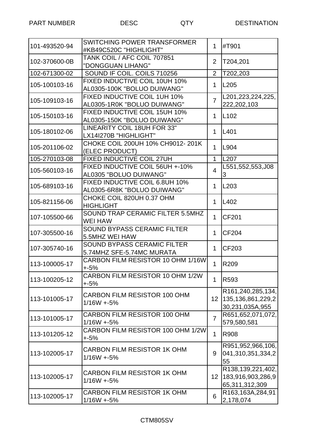| 101-493520-94 | SWITCHING POWER TRANSFORMER<br>#KB49C520C "HIGHLIGHT"         | 1              | #T901                                                     |
|---------------|---------------------------------------------------------------|----------------|-----------------------------------------------------------|
| 102-370600-0B | TANK COIL / AFC COIL 707851<br>"DONGGUAN LIHANG"              | $\overline{2}$ | T204,201                                                  |
| 102-671300-02 | SOUND IF COIL. COILS 710256                                   | $\overline{2}$ | T202,203                                                  |
| 105-100103-16 | FIXED INDUCTIVE COIL 10UH 10%<br>AL0305-100K "BOLUO DUIWANG"  | $\mathbf 1$    | L205                                                      |
| 105-109103-16 | FIXED INDUCTIVE COIL 1UH 10%<br>AL0305-1R0K "BOLUO DUIWANG"   | $\overline{7}$ | L201,223,224,225,<br>222,202,103                          |
| 105-150103-16 | FIXED INDUCTIVE COIL 15UH 10%<br>AL0305-150K "BOLUO DUIWANG"  | $\mathbf 1$    | L <sub>102</sub>                                          |
| 105-180102-06 | LINEARITY COIL 18UH FOR 33"<br>LX14I270B "HIGHLIGHT"          | 1              | L401                                                      |
| 105-201106-02 | CHOKE COIL 200UH 10% CH9012-201K<br>(ELEC PRODUCT)            | $\mathbf 1$    | L904                                                      |
| 105-270103-08 | <b>FIXED INDUCTIVE COIL 27UH</b>                              | $\mathbf{1}$   | L207                                                      |
| 105-560103-16 | FIXED INDUCTIVE COIL 56UH +-10%<br>AL0305 "BOLUO DUIWANG"     | $\overline{4}$ | L551,552,553,J08<br>IЗ                                    |
| 105-689103-16 | FIXED INDUCTIVE COIL 6.8UH 10%<br>AL0305-6R8K "BOLUO DUIWANG" | 1              | L <sub>203</sub>                                          |
| 105-821156-06 | CHOKE COIL 820UH 0.37 OHM<br><b>HIGHLIGHT</b>                 | $\mathbf{1}$   | L <sub>402</sub>                                          |
| 107-105500-66 | SOUND TRAP CERAMIC FILTER 5.5MHZ<br><b>WEI HAW</b>            | $\mathbf 1$    | <b>CF201</b>                                              |
| 107-305500-16 | <b>SOUND BYPASS CERAMIC FILTER</b><br>5.5MHZ WEI HAW          | 1              | CF204                                                     |
| 107-305740-16 | SOUND BYPASS CERAMIC FILTER<br>5.74MHZ SFE-5.74MC MURATA      | 1              | CF203                                                     |
| 113-100005-17 | CARBON FILM RESISTOR 10 OHM 1/16W<br>$+5%$                    | 1              | R209                                                      |
| 113-100205-12 | CARBON FILM RESISTOR 10 OHM 1/2W<br>$+5%$                     | $\mathbf 1$    | R593                                                      |
| 113-101005-17 | <b>CARBON FILM RESISTOR 100 OHM</b><br>$1/16W + 5%$           | 12             | R161,240,285,134,<br>135,136,861,229,2<br>30,231,035A,955 |
| 113-101005-17 | CARBON FILM RESISTOR 100 OHM<br>$1/16W + 5%$                  | $\overline{7}$ | R651,652,071,072,<br>579,580,581                          |
| 113-101205-12 | CARBON FILM RESISTOR 100 OHM 1/2W<br>$+5%$                    | $\mathbf 1$    | <b>R908</b>                                               |
| 113-102005-17 | <b>CARBON FILM RESISTOR 1K OHM</b><br>$1/16W + 5%$            | 9              | R951,952,966,106,<br>041,310,351,334,2<br>55              |
| 113-102005-17 | <b>CARBON FILM RESISTOR 1K OHM</b><br>$1/16W + 5%$            | 12             | R138,139,221,402,<br>183,916,903,286,9<br>65,311,312,309  |
| 113-102005-17 | <b>CARBON FILM RESISTOR 1K OHM</b><br>$1/16W + 5%$            | 6              | R163,163A,284,91<br>2,178,074                             |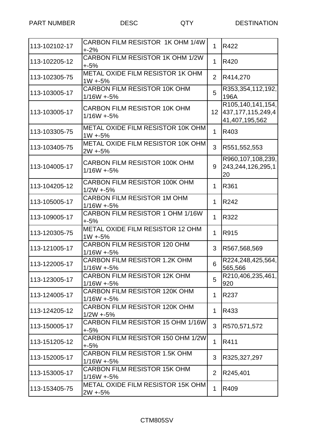| 113-102102-17 | CARBON FILM RESISTOR 1K OHM 1/4W<br>$+2%$             | 1               | R422                                                         |
|---------------|-------------------------------------------------------|-----------------|--------------------------------------------------------------|
| 113-102205-12 | CARBON FILM RESISTOR 1K OHM 1/2W<br>$+5%$             | 1               | R420                                                         |
| 113-102305-75 | <b>METAL OXIDE FILM RESISTOR 1K OHM</b><br>$1W + 5%$  | $\overline{2}$  | R414,270                                                     |
| 113-103005-17 | <b>CARBON FILM RESISTOR 10K OHM</b><br>$1/16W + 5%$   | 5               | R353,354,112,192,<br>196A                                    |
| 113-103005-17 | <b>CARBON FILM RESISTOR 10K OHM</b><br>$1/16W + 5%$   | 12 <sup>2</sup> | R105,140,141,154,<br>437, 177, 115, 249, 4<br>41,407,195,562 |
| 113-103305-75 | <b>METAL OXIDE FILM RESISTOR 10K OHM</b><br>$1W + 5%$ | $\mathbf 1$     | R403                                                         |
| 113-103405-75 | <b>METAL OXIDE FILM RESISTOR 10K OHM</b><br>$2W + 5%$ | 3               | R551,552,553                                                 |
| 113-104005-17 | CARBON FILM RESISTOR 100K OHM<br>$1/16W + 5%$         | 9               | R960,107,108,239,<br>243,244,126,295,1<br>20                 |
| 113-104205-12 | <b>CARBON FILM RESISTOR 100K OHM</b><br>$1/2W + 5%$   | 1               | R361                                                         |
| 113-105005-17 | <b>CARBON FILM RESISTOR 1M OHM</b><br>$1/16W + 5%$    | $\mathbf{1}$    | R <sub>242</sub>                                             |
| 113-109005-17 | CARBON FILM RESISTOR 1 OHM 1/16W<br>$+5%$             | 1               | R322                                                         |
| 113-120305-75 | <b>METAL OXIDE FILM RESISTOR 12 OHM</b><br>$1W + 5%$  | $\mathbf{1}$    | R915                                                         |
| 113-121005-17 | <b>CARBON FILM RESISTOR 120 OHM</b><br>$1/16W + 5%$   | 3               | R567,568,569                                                 |
| 113-122005-17 | <b>CARBON FILM RESISTOR 1.2K OHM</b><br>$1/16W + 5%$  | 6               | R224,248,425,564,<br>565,566                                 |
| 113-123005-17 | <b>CARBON FILM RESISTOR 12K OHM</b><br>$1/16W + 5%$   | 5               | R210,406,235,461,<br>920                                     |
| 113-124005-17 | <b>CARBON FILM RESISTOR 120K OHM</b><br>$1/16W + 5%$  | 1               | R237                                                         |
| 113-124205-12 | <b>CARBON FILM RESISTOR 120K OHM</b><br>$1/2W + 5%$   | 1               | R433                                                         |
| 113-150005-17 | CARBON FILM RESISTOR 15 OHM 1/16W<br>+-5%             | 3               | R570,571,572                                                 |
| 113-151205-12 | CARBON FILM RESISTOR 150 OHM 1/2W<br>$+5%$            | 1               | R411                                                         |
| 113-152005-17 | <b>CARBON FILM RESISTOR 1.5K OHM</b><br>$1/16W + 5%$  | 3               | R325,327,297                                                 |
| 113-153005-17 | <b>CARBON FILM RESISTOR 15K OHM</b><br>$1/16W + 5%$   | $\overline{2}$  | R245,401                                                     |
| 113-153405-75 | METAL OXIDE FILM RESISTOR 15K OHM<br>$2W + 5%$        | $\mathbf 1$     | R409                                                         |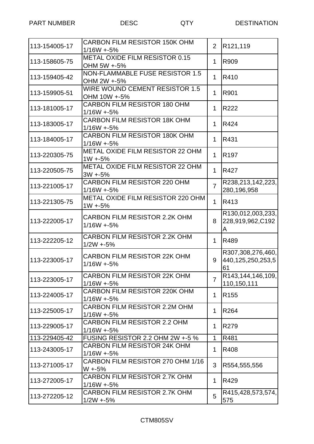| 113-154005-17 | <b>CARBON FILM RESISTOR 150K OHM</b><br>$1/16W + 5%$  | $\overline{2}$ | R121,119                                     |
|---------------|-------------------------------------------------------|----------------|----------------------------------------------|
| 113-158605-75 | METAL OXIDE FILM RESISTOR 0.15<br>OHM 5W +-5%         | 1              | R909                                         |
| 113-159405-42 | NON-FLAMMABLE FUSE RESISTOR 1.5<br>OHM 2W +-5%        | 1              | R410                                         |
| 113-159905-51 | <b>WIRE WOUND CEMENT RESISTOR 1.5</b><br>OHM 10W +-5% | 1              | R901                                         |
| 113-181005-17 | <b>CARBON FILM RESISTOR 180 OHM</b><br>$1/16W + 5%$   | 1              | R222                                         |
| 113-183005-17 | <b>CARBON FILM RESISTOR 18K OHM</b><br>$1/16W + 5%$   | 1              | R424                                         |
| 113-184005-17 | <b>CARBON FILM RESISTOR 180K OHM</b><br>$1/16W + 5%$  | 1              | R431                                         |
| 113-220305-75 | <b>METAL OXIDE FILM RESISTOR 22 OHM</b><br>$1W + 5%$  | 1              | R <sub>197</sub>                             |
| 113-220505-75 | <b>METAL OXIDE FILM RESISTOR 22 OHM</b><br>$3W + 5%$  | 1              | R427                                         |
| 113-221005-17 | <b>CARBON FILM RESISTOR 220 OHM</b><br>$1/16W + 5%$   | $\overline{7}$ | R238,213,142,223,<br>280,196,958             |
| 113-221305-75 | METAL OXIDE FILM RESISTOR 220 OHM<br>$1W + 5%$        | $\mathbf{1}$   | R413                                         |
| 113-222005-17 | CARBON FILM RESISTOR 2.2K OHM<br>$1/16W + 5%$         | 8              | R130,012,003,233,<br>228,919,962,C192<br>A   |
| 113-222205-12 | <b>CARBON FILM RESISTOR 2.2K OHM</b><br>$1/2W + 5%$   | 1              | R489                                         |
| 113-223005-17 | <b>CARBON FILM RESISTOR 22K OHM</b><br>$1/16W + 5%$   | 9              | R307,308,276,460,<br>440,125,250,253,5<br>61 |
| 113-223005-17 | CARBON FILM RESISTOR 22K OHM<br>$1/16W + 5%$          | $\overline{7}$ | R143,144,146,109,<br>110,150,111             |
| 113-224005-17 | CARBON FILM RESISTOR 220K OHM<br>$1/16W + 5%$         | 1              | R <sub>155</sub>                             |
| 113-225005-17 | <b>CARBON FILM RESISTOR 2.2M OHM</b><br>$1/16W + 5%$  | 1              | R <sub>264</sub>                             |
| 113-229005-17 | <b>CARBON FILM RESISTOR 2.2 OHM</b><br>$1/16W + 5%$   | 1              | R <sub>279</sub>                             |
| 113-229405-42 | FUSING RESISTOR 2.2 OHM 2W +-5 %                      | 1              | R481                                         |
| 113-243005-17 | <b>CARBON FILM RESISTOR 24K OHM</b><br>$1/16W + 5%$   | 1              | R408                                         |
| 113-271005-17 | CARBON FILM RESISTOR 270 OHM 1/16<br>W +-5%           | 3              | R554,555,556                                 |
| 113-272005-17 | CARBON FILM RESISTOR 2.7K OHM<br>$1/16W + 5%$         | 1              | R429                                         |
| 113-272205-12 | <b>CARBON FILM RESISTOR 2.7K OHM</b><br>$1/2W + 5%$   | 5              | R415,428,573,574,<br>575                     |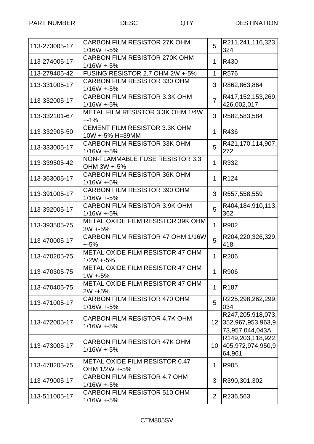| 113-273005-17 | <b>CARBON FILM RESISTOR 27K OHM</b><br>$1/16W + 5%$     | 5               | R211,241,116,323,<br>324                                  |
|---------------|---------------------------------------------------------|-----------------|-----------------------------------------------------------|
| 113-274005-17 | <b>CARBON FILM RESISTOR 270K OHM</b><br>$1/16W + 5%$    | 1               | R430                                                      |
| 113-279405-42 | FUSING RESISTOR 2.7 OHM 2W +-5%                         | $\mathbf{1}$    | R576                                                      |
| 113-331005-17 | <b>CARBON FILM RESISTOR 330 OHM</b><br>$1/16W + 5%$     | 3               | R862,863,864                                              |
| 113-332005-17 | <b>CARBON FILM RESISTOR 3.3K OHM</b><br>$1/16W + 5%$    | $\overline{7}$  | R417,152,153,269,<br>426,002,017                          |
| 113-332101-67 | METAL FILM RESISTOR 3.3K OHM 1/4W<br>$+ -1\%$           | 3               | R582,583,584                                              |
| 113-332905-50 | <b>CEMENT FILM RESISTOR 3.3K OHM</b><br>10W +-5% H=39MM | $\mathbf 1$     | R436                                                      |
| 113-333005-17 | <b>CARBON FILM RESISTOR 33K OHM</b><br>$1/16W + 5%$     | 5               | R421,170,114,907,<br>272                                  |
| 113-339505-42 | NON-FLAMMABLE FUSE RESISTOR 3.3<br>OHM 3W +-5%          | 1               | R332                                                      |
| 113-363005-17 | <b>CARBON FILM RESISTOR 36K OHM</b><br>$1/16W + 5%$     | $\mathbf{1}$    | R <sub>124</sub>                                          |
| 113-391005-17 | <b>CARBON FILM RESISTOR 390 OHM</b><br>$1/16W + 5%$     | 3               | R557,558,559                                              |
| 113-392005-17 | <b>CARBON FILM RESISTOR 3.9K OHM</b><br>$1/16W + 5%$    | 5               | R404,184,910,113,<br>362                                  |
| 113-393505-75 | METAL OXIDE FILM RESISTOR 39K OHM<br>$3W + 5%$          | 1               | R902                                                      |
| 113-470005-17 | CARBON FILM RESISTOR 47 OHM 1/16W<br>+-5%               | 5               | R204,220,326,329,<br>418                                  |
| 113-470205-75 | METAL OXIDE FILM RESISTOR 47 OHM<br>$1/2W + 5%$         | 1               | R206                                                      |
| 113-470305-75 | <b>METAL OXIDE FILM RESISTOR 47 OHM</b><br>$1W + 5%$    | 1.              | <b>R906</b>                                               |
| 113-470405-75 | <b>METAL OXIDE FILM RESISTOR 47 OHM</b><br>$2W - 5%$    | $\mathbf 1$     | R <sub>187</sub>                                          |
| 113-471005-17 | <b>CARBON FILM RESISTOR 470 OHM</b><br>$1/16W + 5%$     | 5               | R225,298,262,299,<br>034                                  |
| 113-472005-17 | CARBON FILM RESISTOR 4.7K OHM<br>$1/16W + 5%$           | 12 <sub>2</sub> | R247,205,918,073,<br>352,967,953,963,9<br>73,957,044,043A |
| 113-473005-17 | <b>CARBON FILM RESISTOR 47K OHM</b><br>$1/16W + 5%$     | 10              | R149,203,118,922,<br>405,972,974,950,9<br>64,961          |
| 113-478205-75 | METAL OXIDE FILM RESISTOR 0.47<br>OHM 1/2W +-5%         | $\mathbf{1}$    | R905                                                      |
| 113-479005-17 | <b>CARBON FILM RESISTOR 4.7 OHM</b><br>$1/16W + 5%$     | 3               | R390,301,302                                              |
| 113-511005-17 | <b>CARBON FILM RESISTOR 510 OHM</b><br>$1/16W + 5%$     | $\overline{2}$  | R236,563                                                  |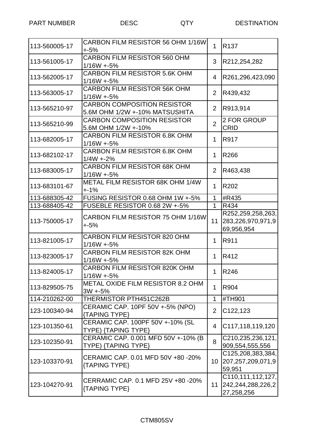| 113-560005-17 | CARBON FILM RESISTOR 56 OHM 1/16W<br>$+5%$                           | $\mathbf{1}$   | R <sub>137</sub>                                     |
|---------------|----------------------------------------------------------------------|----------------|------------------------------------------------------|
| 113-561005-17 | <b>CARBON FILM RESISTOR 560 OHM</b><br>$1/16W + 5%$                  | 3              | R212,254,282                                         |
| 113-562005-17 | <b>CARBON FILM RESISTOR 5.6K OHM</b><br>$1/16W + 5%$                 | 4              | R261,296,423,090                                     |
| 113-563005-17 | <b>CARBON FILM RESISTOR 56K OHM</b><br>$1/16W + 5%$                  | $\overline{2}$ | R439,432                                             |
| 113-565210-97 | <b>CARBON COMPOSITION RESISTOR</b><br>5.6M OHM 1/2W +-10% MATSUSHITA | $\overline{2}$ | R913,914                                             |
| 113-565210-99 | <b>CARBON COMPOSITION RESISTOR</b><br>5.6M OHM 1/2W +-10%            | $\overline{2}$ | 2 FOR GROUP<br><b>CRID</b>                           |
| 113-682005-17 | <b>CARBON FILM RESISTOR 6.8K OHM</b><br>$1/16W + 5%$                 | 1              | <b>R917</b>                                          |
| 113-682102-17 | <b>CARBON FILM RESISTOR 6.8K OHM</b><br>$1/4W + 2%$                  | 1              | R266                                                 |
| 113-683005-17 | <b>CARBON FILM RESISTOR 68K OHM</b><br>$1/16W + 5%$                  | 2              | R463,438                                             |
| 113-683101-67 | METAL FILM RESISTOR 68K OHM 1/4W<br>$+ -1%$                          | 1              | R202                                                 |
| 113-688305-42 | FUSING RESISTOR 0.68 OHM 1W +-5%                                     | 1              | #R435                                                |
| 113-688405-42 | FUSEBLE RESISTOR 0.68 2W +-5%                                        | $\mathbf{1}$   | R434                                                 |
| 113-750005-17 | CARBON FILM RESISTOR 75 OHM 1/16W<br>$+5%$                           | 11             | R252,259,258,263,<br>283,226,970,971,9<br>69,956,954 |
| 113-821005-17 | <b>CARBON FILM RESISTOR 820 OHM</b><br>$1/16W + 5%$                  | 1              | R911                                                 |
| 113-823005-17 | <b>CARBON FILM RESISTOR 82K OHM</b><br>$1/16W + 5%$                  | 1              | R412                                                 |
| 113-824005-17 | <b>CARBON FILM RESISTOR 820K OHM</b><br>$1/16W + 5%$                 | 1.             | R246                                                 |
| 113-829505-75 | METAL OXIDE FILM RESISTOR 8.2 OHM<br>$3W + 5%$                       | 1              | R904                                                 |
| 114-210262-00 | THERMISTOR PTH451C262B                                               | 1              | #TH901                                               |
| 123-100340-94 | CERAMIC CAP. 10PF 50V +-5% (NPO)<br>{TAPING TYPE}                    | $\overline{2}$ | C122,123                                             |
| 123-101350-61 | CERAMIC CAP. 100PF 50V +-10% (SL<br>TYPE) {TAPING TYPE}              | 4              | C117,118,119,120                                     |
| 123-102350-91 | CERAMIC CAP. 0.001 MFD 50V +-10% (B<br>TYPE) {TAPING TYPE}           | 8              | C210,235,236,121,<br>909,554,555,556                 |
| 123-103370-91 | CERAMIC CAP. 0.01 MFD 50V +80 -20%<br>{TAPING TYPE}                  | 10             | C125,208,383,384,<br>207, 257, 209, 071, 9<br>59,951 |
| 123-104270-91 | CERRAMIC CAP. 0.1 MFD 25V +80 -20%<br>{TAPING TYPE}                  | 11             | C110,111,112,127,<br>242,244,288,226,2<br>27,258,256 |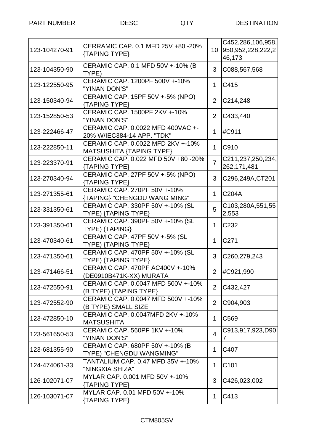|               |                                                |                 | C452,286,106,958,     |
|---------------|------------------------------------------------|-----------------|-----------------------|
| 123-104270-91 | CERRAMIC CAP. 0.1 MFD 25V +80 -20%             | 10 <sup>°</sup> | 950, 952, 228, 222, 2 |
|               | {TAPING TYPE}                                  |                 | 46,173                |
|               | CERAMIC CAP. 0.1 MFD 50V +-10% (B              |                 |                       |
| 123-104350-90 | TYPE)                                          | 3               | C088,567,568          |
|               | CERAMIC CAP. 1200PF 500V +-10%                 |                 |                       |
| 123-122550-95 | "YINAN DON'S"                                  | 1.              | C415                  |
|               |                                                |                 |                       |
| 123-150340-94 | CERAMIC CAP. 15PF 50V +-5% (NPO)               | 2               | C214,248              |
|               | {TAPING TYPE}<br>CERAMIC CAP. 1500PF 2KV +-10% |                 |                       |
| 123-152850-53 |                                                | $\overline{2}$  | C433,440              |
|               | "YINAN DON'S"                                  |                 |                       |
| 123-222466-47 | CERAMIC CAP. 0.0022 MFD 400VAC +-              | 1               | #C911                 |
|               | 20% W/IEC384-14 APP. "TDK"                     |                 |                       |
| 123-222850-11 | CERAMIC CAP. 0.0022 MFD 2KV +-10%              | $\mathbf 1$     | C910                  |
|               | <b>MATSUSHITA {TAPING TYPE}</b>                |                 |                       |
| 123-223370-91 | CERAMIC CAP. 0.022 MFD 50V +80 -20%            | $\overline{7}$  | C211,237,250,234,     |
|               | {TAPING TYPE}                                  |                 | 262,171,481           |
| 123-270340-94 | CERAMIC CAP. 27PF 50V +-5% (NPO)               | 3               | C296,249A, CT201      |
|               | {TAPING TYPE}                                  |                 |                       |
| 123-271355-61 | CERAMIC CAP. 270PF 50V +-10%                   | 1.              | C204A                 |
|               | {TAPING} "CHENGDU WANG MING"                   |                 |                       |
| 123-331350-61 | CERAMIC CAP. 330PF 50V +-10% (SL               | 5               | C103,280A,551,55      |
|               | TYPE) {TAPING TYPE}                            |                 | 2,553                 |
| 123-391350-61 | CERAMIC CAP. 390PF 50V +-10% (SL               | 1               | C <sub>232</sub>      |
|               | TYPE) {TAPING}                                 |                 |                       |
| 123-470340-61 | CERAMIC CAP. 47PF 50V +-5% (SL                 | 1               | C <sub>271</sub>      |
|               | TYPE) {TAPING TYPE}                            |                 |                       |
| 123-471350-61 | CERAMIC CAP. 470PF 50V +-10% (SL               | 3               | C260,279,243          |
|               | TYPE) {TAPING TYPE}                            |                 |                       |
|               | CERAMIC CAP. 470PF AC400V +-10%                | $\overline{2}$  |                       |
| 123-471466-51 | (DE0910B471K-XX) MURATA                        |                 | #C921,990             |
|               | CERAMIC CAP. 0.0047 MFD 500V +-10%             |                 |                       |
| 123-472550-91 | (B TYPE) {TAPING TYPE}                         | 2               | C432,427              |
|               | CERAMIC CAP. 0.0047 MFD 500V +-10%             |                 |                       |
| 123-472552-90 | (B TYPE) SMALL SIZE                            | $\overline{2}$  | C904,903              |
|               | CERAMIC CAP. 0.0047MFD 2KV +-10%               |                 |                       |
| 123-472850-10 | <b>MATSUSHITA</b>                              | 1               | C569                  |
|               | CERAMIC CAP, 560PF 1KV +-10%                   |                 | C913,917,923,D90      |
| 123-561650-53 | "YINAN DON'S"                                  | $\overline{4}$  | 7                     |
|               | CERAMIC CAP. 680PF 50V +-10% (B                |                 |                       |
| 123-681355-90 | TYPE) "CHENGDU WANGMING"                       | 1               | C407                  |
|               | TANTALIUM CAP. 0.47 MFD 35V +-10%              |                 |                       |
| 124-474061-33 | "NINGXIA SHIZA"                                | $\mathbf{1}$    | C101                  |
|               | MYLAR CAP. 0.001 MFD 50V +-10%                 |                 |                       |
| 126-102071-07 | {TAPING TYPE}                                  | 3               | C426,023,002          |
|               | MYLAR CAP. 0.01 MFD 50V +-10%                  |                 |                       |
| 126-103071-07 | {TAPING TYPE}                                  | 1               | C413                  |
|               |                                                |                 |                       |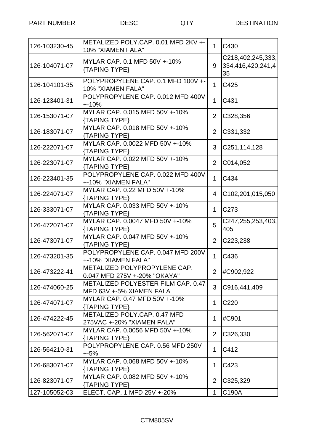| 126-103230-45 | METALIZED POLY.CAP. 0.01 MFD 2KV +-<br>10% "XIAMEN FALA"       | 1              | C430                                         |
|---------------|----------------------------------------------------------------|----------------|----------------------------------------------|
| 126-104071-07 | MYLAR CAP. 0.1 MFD 50V +-10%<br>{TAPING TYPE}                  | 9              | C218,402,245,333,<br>334,416,420,241,4<br>35 |
| 126-104101-35 | POLYPROPYLENE CAP. 0.1 MFD 100V +-<br>10% "XIAMEN FALA"        | $\mathbf{1}$   | C425                                         |
| 126-123401-31 | POLYPROPYLENE CAP. 0.012 MFD 400V<br>$+10%$                    | 1              | C431                                         |
| 126-153071-07 | MYLAR CAP. 0.015 MFD 50V +-10%<br>{TAPING TYPE}                | $\overline{2}$ | C328,356                                     |
| 126-183071-07 | MYLAR CAP. 0.018 MFD 50V +-10%<br>{TAPING TYPE}                | $\overline{2}$ | C331,332                                     |
| 126-222071-07 | MYLAR CAP. 0.0022 MFD 50V +-10%<br>{TAPING TYPE}               | 3              | C251,114,128                                 |
| 126-223071-07 | MYLAR CAP, 0.022 MFD 50V +-10%<br>{TAPING TYPE}                | 2              | C014,052                                     |
| 126-223401-35 | POLYPROPYLENE CAP. 0.022 MFD 400V<br>+-10% "XIAMEN FALA"       | $\mathbf 1$    | C434                                         |
| 126-224071-07 | MYLAR CAP. 0.22 MFD 50V +-10%<br>{TAPING TYPE}                 | 4              | C102,201,015,050                             |
| 126-333071-07 | MYLAR CAP. 0.033 MFD 50V +-10%<br>{TAPING TYPE}                | 1.             | C <sub>273</sub>                             |
| 126-472071-07 | MYLAR CAP. 0.0047 MFD 50V +-10%<br>{TAPING TYPE}               | 5              | C247,255,253,403,<br>405                     |
| 126-473071-07 | MYLAR CAP. 0.047 MFD 50V +-10%<br>{TAPING TYPE}                | $\overline{2}$ | C223,238                                     |
| 126-473201-35 | POLYPROPYLENE CAP. 0.047 MFD 200V<br>+-10% "XIAMEN FALA"       | 1              | C436                                         |
| 126-473222-41 | METALIZED POLYPROPYLENE CAP.<br>0.047 MFD 275V +-20% "OKAYA"   | $\overline{2}$ | #C902,922                                    |
| 126-474060-25 | METALIZED POLYESTER FILM CAP. 0.47<br>MFD 63V +-5% XIAMEN FALA | 3              | C916,441,409                                 |
| 126-474071-07 | MYLAR CAP. 0.47 MFD 50V +-10%<br>{TAPING TYPE}                 | 1              | C <sub>220</sub>                             |
| 126-474222-45 | METALIZED POLY.CAP. 0.47 MFD<br>275VAC +-20% "XIAMEN FALA"     | 1              | #C901                                        |
| 126-562071-07 | MYLAR CAP. 0.0056 MFD 50V +-10%<br>{TAPING TYPE}               | $\overline{2}$ | C326,330                                     |
| 126-564210-31 | POLYPROPYLENE CAP. 0.56 MFD 250V<br>$+5%$                      | $\mathbf 1$    | C412                                         |
| 126-683071-07 | MYLAR CAP. 0.068 MFD 50V +-10%<br>{TAPING TYPE}                | 1              | C423                                         |
| 126-823071-07 | MYLAR CAP. 0.082 MFD 50V +-10%<br>{TAPING TYPE}                | $\overline{2}$ | C325,329                                     |
|               | ELECT. CAP. 1 MFD 25V +-20%                                    | 1              | C190A                                        |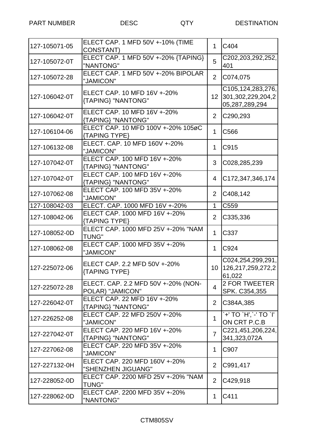| 127-105071-05 | ELECT CAP. 1 MFD 50V +-10% (TIME<br><b>CONSTANT)</b>    | 1              | C404                                                      |
|---------------|---------------------------------------------------------|----------------|-----------------------------------------------------------|
| 127-105072-0T | ELECT CAP. 1 MFD 50V +-20% {TAPING}<br>"NANTONG"        | 5              | C202,203,292,252,<br>401                                  |
| 127-105072-28 | ELECT CAP. 1 MFD 50V +-20% BIPOLAR<br>"JAMICON"         | $\overline{2}$ | C074,075                                                  |
| 127-106042-0T | ELECT CAP. 10 MFD 16V +-20%<br>{TAPING} "NANTONG"       | 12             | C105,124,283,276,<br>301,302,229,204,2<br>05,287,289,294  |
| 127-106042-0T | ELECT CAP. 10 MFD 16V +-20%<br>{TAPING} "NANTONG"       | $\overline{2}$ | C290,293                                                  |
| 127-106104-06 | ELECT CAP. 10 MFD 100V +-20% 105øC<br>{TAPING TYPE}     | $\mathbf{1}$   | C566                                                      |
| 127-106132-08 | ELECT. CAP. 10 MFD 160V +-20%<br>"JAMICON"              | 1              | C915                                                      |
| 127-107042-0T | ELECT CAP. 100 MFD 16V +-20%<br>{TAPING} "NANTONG"      | 3              | C028,285,239                                              |
| 127-107042-0T | ELECT CAP. 100 MFD 16V +-20%<br>{TAPING} "NANTONG"      | 4              | C172,347,346,174                                          |
| 127-107062-08 | ELECT CAP. 100 MFD 35V +-20%<br>"JAMICON"               | $\overline{2}$ | C408,142                                                  |
| 127-108042-03 | ELECT. CAP. 1000 MFD 16V +-20%                          | $\mathbf{1}$   | C559                                                      |
| 127-108042-06 | ELECT CAP. 1000 MFD 16V +-20%<br>{TAPING TYPE}          | 2              | C335,336                                                  |
| 127-108052-0D | ELECT CAP. 1000 MFD 25V +-20% "NAM<br><b>TUNG"</b>      | $\mathbf{1}$   | C337                                                      |
| 127-108062-08 | ELECT CAP, 1000 MFD 35V +-20%<br>"JAMICON"              | $\mathbf{1}$   | C924                                                      |
| 127-225072-06 | ELECT CAP. 2.2 MFD 50V +-20%<br>{TAPING TYPE}           |                | C024,254,299,291,<br>10   126, 217, 259, 272, 2<br>61,022 |
| 127-225072-28 | ELECT. CAP. 2.2 MFD 50V +-20% (NON-<br>POLAR) "JAMICON" | 4              | <b>2 FOR TWEETER</b><br>SPK. C354,355                     |
| 127-226042-0T | ELECT CAP. 22 MFD 16V +-20%<br>{TAPING} "NANTONG"       | $\overline{2}$ | C384A, 385                                                |
| 127-226252-08 | ELECT CAP. 22 MFD 250V +-20%<br>"JAMICON"               | 1              | `+' TO `H',`-' TO `I'  <br>ON CRT P.C.B                   |
| 127-227042-0T | ELECT CAP. 220 MFD 16V +-20%<br>{TAPING} "NANTONG"      | $\overline{7}$ | C221,451,206,224,<br>341,323,072A                         |
| 127-227062-08 | ELECT CAP. 220 MFD 35V +-20%<br>"JAMICON"               | 1              | C907                                                      |
| 127-227132-0H | ELECT CAP. 220 MFD 160V +-20%<br>"SHENZHEN JIGUANG"     | $\overline{2}$ | C991,417                                                  |
| 127-228052-0D | ELECT CAP. 2200 MFD 25V +-20% "NAM<br><b>TUNG"</b>      | $\overline{2}$ | C429,918                                                  |
| 127-228062-0D | ELECT CAP. 2200 MFD 35V +-20%<br>"NANTONG"              | 1              | C411                                                      |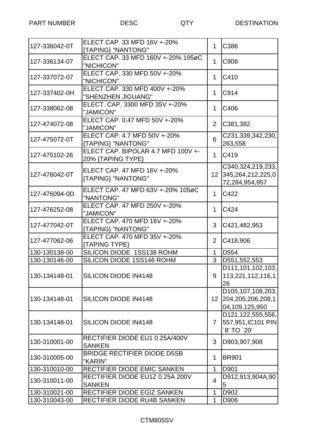| 127-336042-0T | ELECT CAP. 33 MFD 16V +-20%<br>{TAPING} "NANTONG"       | 1               | C386                                                         |
|---------------|---------------------------------------------------------|-----------------|--------------------------------------------------------------|
| 127-336134-07 | ELECT CAP. 33 MFD 160V +-20% 105øC<br>"NICHICON"        | 1               | C908                                                         |
| 127-337072-07 | ELECT CAP. 330 MFD 50V +-20%<br>"NICHICON"              | 1               | C410                                                         |
| 127-337402-0H | ELECT CAP. 330 MFD 400V +-20%<br>"SHENZHEN JIGUANG"     | 1               | C914                                                         |
| 127-338062-08 | ELECT. CAP. 3300 MFD 35V +-20%<br>"JAMICON"             | 1               | C406                                                         |
| 127-474072-08 | ELECT CAP, 0.47 MFD 50V +-20%<br>"JAMICON"              | $\overline{2}$  | C381,382                                                     |
| 127-475072-0T | ELECT CAP. 4.7 MFD 50V +-20%<br>{TAPING} "NANTONG"      | 6               | C231,339,342,230,<br>263,558                                 |
| 127-475102-26 | ELECT CAP. BIPOLAR 4.7 MFD 100V +-<br>20% {TAPING TYPE} | $\mathbf 1$     | C419                                                         |
| 127-476042-0T | ELECT CAP. 47 MFD 16V +-20%<br>{TAPING} "NANTONG"       |                 | C340,324,219,233,<br>12 345,264,212,225,0<br>72,284,954,957  |
| 127-476094-0D | ELECT CAP. 47 MFD 63V +-20% 105øC<br>"NANTONG"          | 1               | C422                                                         |
| 127-476252-08 | ELECT CAP. 47 MFD 250V +-20%<br>"JAMICON"               | 1               | C424                                                         |
| 127-477042-0T | ELECT CAP. 470 MFD 16V +-20%<br>{TAPING} "NANTONG"      | 3               | C421,482,953                                                 |
| 127-477062-06 | ELECT CAP. 470 MFD 35V +-20%<br>{TAPING TYPE}           | 2               | C418,906                                                     |
| 130-130138-00 | SILICON DIODE 1SS138 ROHM                               | $\mathbf{1}$    | D <sub>554</sub>                                             |
| 130-130146-00 | SILICON DIODE 1SS146 ROHM                               | 3               | D551,552,553                                                 |
| 130-134148-01 | SILICON DIODE IN4148                                    | 9               | D111,101,102,103,<br>113,221,112,116,1<br>26                 |
| 130-134148-01 | SILICON DIODE IN4148                                    | 12 <sub>2</sub> | D105,107,108,203,<br>204, 205, 206, 208, 1<br>04,109,125,950 |
| 130-134148-01 | <b>SILICON DIODE IN4148</b>                             | 7               | D121,122,555,556,<br>557,951, IC101 PIN<br>`8' TO `20'       |
| 130-310001-00 | RECTIFIER DIODE EU1 0.25A/400V<br><b>SANKEN</b>         | 3               | D903,907,908                                                 |
| 130-310005-00 | <b>BRIDGE RECTIFIER DIODE D5SB</b><br>"KARIN"           | 1               | <b>BR901</b>                                                 |
| 130-310010-00 | RECTIFIER DIODE EMIC SANKEN                             | 1               | D901                                                         |
| 130-310011-00 | RECTIFIER DIODE EU1Z 0.25A 200V<br><b>SANKEN</b>        | 4               | D912,913,904A,90<br>5                                        |
| 130-310021-00 | RECTIFIER DIODE EGIZ SANKEN                             | 1               | D902                                                         |
| 130-310043-00 | RECTIFIER DIODE RU4B SANKEN                             | $\mathbf{1}$    | D906                                                         |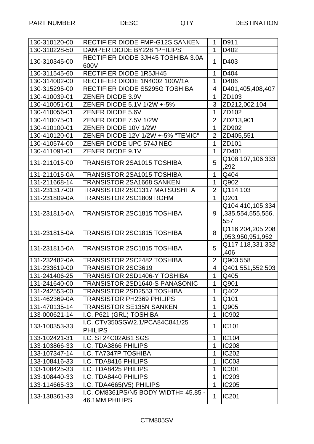| 130-310120-00 | RECTIFIER DIODE FMP-G12S SANKEN                        | $\mathbf{1}$   | D911              |
|---------------|--------------------------------------------------------|----------------|-------------------|
| 130-310228-50 | <b>DAMPER DIODE BY228 "PHILIPS"</b>                    | 1              | D402              |
| 130-310345-00 | RECTIFIER DIODE 3JH45 TOSHIBA 3.0A<br>600V             | $\mathbf{1}$   | D403              |
| 130-311545-60 | <b>RECTIFIER DIODE 1R5JH45</b>                         | 1              | D404              |
| 130-314002-00 | RECTIFIER DIODE 1N4002 100V/1A                         | $\mathbf{1}$   | D406              |
| 130-315295-00 | RECTIFIER DIODE S5295G TOSHIBA                         | 4              | D401,405,408,407  |
| 130-410039-01 | ZENER DIODE 3.9V                                       | $\mathbf{1}$   | ZD103             |
| 130-410051-01 | ZENER DIODE 5.1V 1/2W +-5%                             | 3              | ZD212,002,104     |
| 130-410056-01 | ZENER DIODE 5.6V                                       | $\mathbf{1}$   | ZD102             |
| 130-410075-01 | ZENER DIODE 7.5V 1/2W                                  | $\overline{2}$ | ZD213,901         |
| 130-410100-01 | ZENER DIODE 10V 1/2W                                   | $\mathbf{1}$   | ZD902             |
| 130-410120-01 | ZENER DIODE 12V 1/2W +-5% "TEMIC"                      | $\overline{2}$ | ZD405,551         |
| 130-410574-00 | ZENER DIODE UPC 574J NEC                               | $\mathbf{1}$   | ZD101             |
| 130-411091-01 | ZENER DIODE 9.1V                                       | 1              | ZD401             |
| 131-211015-00 | <b>TRANSISTOR 2SA1015 TOSHIBA</b>                      | 5              | Q108,107,106,333  |
|               |                                                        |                | ,292              |
| 131-211015-0A | TRANSISTOR 2SA1015 TOSHIBA                             | 1              | Q404              |
| 131-211668-14 | <b>TRANSISTOR 2SA1668 SANKEN</b>                       | $\mathbf{1}$   | Q902              |
| 131-231317-00 | <b>TRANSISTOR 2SC1317 MATSUSHITA</b>                   | $\overline{2}$ | Q114,103          |
| 131-231809-0A | TRANSISTOR 2SC1809 ROHM                                | 1              | Q201              |
|               |                                                        |                | Q104,410,105,334  |
| 131-231815-0A | TRANSISTOR 2SC1815 TOSHIBA                             | 9              | ,335,554,555,556, |
|               |                                                        |                | 557               |
| 131-231815-0A | <b>TRANSISTOR 2SC1815 TOSHIBA</b>                      | 8              | Q116,204,205,208  |
|               |                                                        |                | ,953,950,951,952  |
| 131-231815-0A | <b>TRANSISTOR 2SC1815 TOSHIBA</b>                      | 5              | Q117,118,331,332  |
|               |                                                        |                | .406              |
| 131-232482-0A | TRANSISTOR 2SC2482 TOSHIBA                             | $\overline{2}$ | Q903,558          |
| 131-233619-00 | TRANSISTOR 2SC3619                                     | $\overline{4}$ | Q401,551,552,503  |
| 131-241406-25 | TRANSISTOR 2SD1406-Y TOSHIBA                           | 1              | Q405              |
| 131-241640-00 | TRANSISTOR 2SD1640-S PANASONIC                         | 1              | Q901              |
| 131-242553-00 | <b>TRANSISTOR 2SD2553 TOSHIBA</b>                      | 1              | Q402              |
| 131-462369-0A | <b>TRANSISTOR PH2369 PHILIPS</b>                       | 1              | Q101              |
| 131-470135-14 | <b>TRANSISTOR SE135N SANKEN</b>                        | 1              | Q905              |
| 133-000621-14 | I.C. P621 (GRL) TOSHIBA                                | 1              | <b>IC902</b>      |
| 133-100353-33 | I.C. CTV350SGW2.1/PCA84C841/25<br><b>PHILIPS</b>       | 1              | <b>IC101</b>      |
| 133-102421-31 | I.C. ST24C02AB1 SGS                                    | 1              | IC104             |
| 133-103866-33 | I.C. TDA3866 PHILIPS                                   | 1              | <b>IC208</b>      |
| 133-107347-14 | I.C. TA7347P TOSHIBA                                   | 1              | <b>IC202</b>      |
| 133-108416-33 | I.C. TDA8416 PHILIPS                                   | 1              | <b>IC003</b>      |
| 133-108425-33 | I.C. TDA8425 PHILIPS                                   | 1              | <b>IC301</b>      |
| 133-108440-33 | I.C. TDA8440 PHILIPS                                   | 1              | <b>IC203</b>      |
| 133-114665-33 | I.C. TDA4665(V5) PHILIPS                               | $\mathbf{1}$   | <b>IC205</b>      |
| 133-138361-33 | I.C. OM8361PS/N5 BODY WIDTH= 45.85 -<br>46.1MM PHILIPS | 1              | <b>IC201</b>      |

## CTM805SV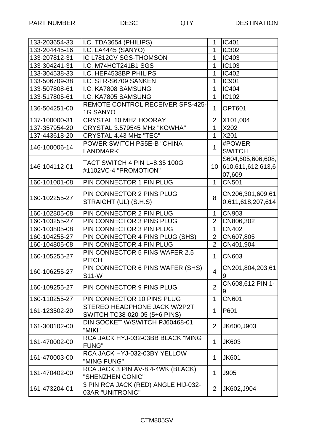| 133-203654-33 | I.C. TDA3654 (PHILIPS)                                  | 1              | <b>IC401</b>          |
|---------------|---------------------------------------------------------|----------------|-----------------------|
| 133-204445-16 | I.C. LA4445 (SANYO)                                     | 1              | <b>IC302</b>          |
| 133-207812-31 | IC L7812CV SGS-THOMSON                                  | 1              | <b>IC403</b>          |
| 133-304241-31 | I.C. M74HCT241B1 SGS                                    | 1              | <b>IC103</b>          |
| 133-304538-33 | I.C. HEF4538BP PHILIPS                                  | 1              | <b>IC402</b>          |
| 133-506709-38 | I.C. STR-S6709 SANKEN                                   | 1              | <b>IC901</b>          |
| 133-507808-61 | I.C. KA7808 SAMSUNG                                     | 1              | <b>IC404</b>          |
| 133-517805-61 | I.C. KA7805 SAMSUNG                                     | $\mathbf{1}$   | IC102                 |
| 136-504251-00 | REMOTE CONTROL RECEIVER SPS-425-<br><b>1G SANYO</b>     | $\mathbf 1$    | <b>OPT601</b>         |
| 137-100000-31 | <b>CRYSTAL 10 MHZ HOORAY</b>                            | $\overline{2}$ | X101,004              |
| 137-357954-20 | CRYSTAL 3.579545 MHz "KOWHA"                            | 1              | X202                  |
| 137-443618-20 | CRYSTAL 4.43 MHz "TEC"                                  | $\mathbf{1}$   | X201                  |
|               | POWER SWITCH PS5E-B "CHINA                              |                | #POWER                |
| 146-100006-14 | LANDMARK"                                               | $\mathbf 1$    | <b>SWITCH</b>         |
|               |                                                         |                | S604,605,606,608,     |
| 146-104112-01 | TACT SWITCH 4 PIN L=8.35 100G                           | 10             | 610,611,612,613,6     |
|               | #1102VC-4 "PROMOTION"                                   |                | 07,609                |
| 160-101001-08 | PIN CONNECTOR 1 PIN PLUG                                | $\mathbf{1}$   | <b>CN501</b>          |
|               |                                                         |                |                       |
| 160-102255-27 | PIN CONNECTOR 2 PINS PLUG                               | 8              | CN206,301,609,61      |
|               | STRAIGHT (UL) (S.H.S)                                   |                | 0,611,618,207,614     |
| 160-102805-08 | PIN CONNECTOR 2 PIN PLUG                                | 1              | <b>CN903</b>          |
| 160-103255-27 | PIN CONNECTOR 3 PINS PLUG                               | $\overline{2}$ | CN806,302             |
| 160-103805-08 | PIN CONNECTOR 3 PIN PLUG                                | $\mathbf{1}$   | <b>CN402</b>          |
| 160-104255-27 | PIN CONNECTOR 4 PINS PLUG (SHS)                         | $\overline{2}$ | CN607,805             |
| 160-104805-08 | PIN CONNECTOR 4 PIN PLUG                                | $\overline{2}$ | CN401,904             |
| 160-105255-27 | PIN CONNECTOR 5 PINS WAFER 2.5<br><b>PITCH</b>          | $\mathbf{1}$   | <b>CN603</b>          |
| 160-106255-27 | PIN CONNECTOR 6 PINS WAFER (SHS)<br>S11-W               | $\overline{4}$ | CN201,804,203,61<br>9 |
| 160-109255-27 | PIN CONNECTOR 9 PINS PLUG                               | $\overline{2}$ | CN608,612 PIN 1-<br>9 |
| 160-110255-27 | PIN CONNECTOR 10 PINS PLUG                              | 1              | <b>CN601</b>          |
|               | STEREO HEADPHONE JACK W/2P2T                            |                |                       |
| 161-123502-20 | SWITCH TC38-020-05 (5+6 PINS)                           | 1              | P601                  |
| 161-300102-00 | DIN SOCKET W/SWITCH PJ60468-01<br>"MIKI"                | $\overline{2}$ | JK600, J903           |
| 161-470002-00 | RCA JACK HYJ-032-03BB BLACK "MING<br><b>FUNG"</b>       | 1              | <b>JK603</b>          |
| 161-470003-00 | RCA JACK HYJ-032-03BY YELLOW<br>"MING FUNG"             | 1              | <b>JK601</b>          |
| 161-470402-00 | RCA JACK 3 PIN AV-8.4-4WK (BLACK)<br>"SHENZHEN CONIC"   | 1              | J905                  |
| 161-473204-01 | 3 PIN RCA JACK (RED) ANGLE HIJ-032-<br>03AR "UNITRONIC" | $\overline{2}$ | JK602, J904           |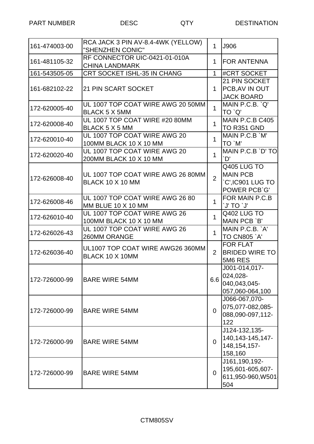| 161-474003-00 | RCA JACK 3 PIN AV-8.4-4WK (YELLOW)<br>"SHENZHEN CONIC"       | $\mathbf{1}$   | J906                                                                     |
|---------------|--------------------------------------------------------------|----------------|--------------------------------------------------------------------------|
| 161-481105-32 | RF CONNECTOR UIC-0421-01-010A<br><b>CHINA LANDMARK</b>       | 1              | <b>FOR ANTENNA</b>                                                       |
| 161-543505-05 | CRT SOCKET ISHL-35 IN CHANG                                  | $\mathbf{1}$   | #CRT SOCKET                                                              |
| 161-682102-22 | <b>21 PIN SCART SOCKET</b>                                   | $\mathbf 1$    | 21 PIN SOCKET<br>PCB, AV IN OUT<br><b>JACK BOARD</b>                     |
| 172-620005-40 | UL 1007 TOP COAT WIRE AWG 20 50MM<br><b>BLACK 5 X 5MM</b>    | $\mathbf 1$    | MAIN P.C.B. `Q'<br>TO `Q'                                                |
| 172-620008-40 | UL 1007 TOP COAT WIRE #20 80MM<br><b>BLACK 5 X 5 MM</b>      | $\mathbf{1}$   | MAIN P.C.B C405<br><b>TO R351 GND</b>                                    |
| 172-620010-40 | UL 1007 TOP COAT WIRE AWG 20<br>100MM BLACK 10 X 10 MM       | $\mathbf{1}$   | MAIN P.C.B `M'<br>TO `M'                                                 |
| 172-620020-40 | UL 1007 TOP COAT WIRE AWG 20<br>200MM BLACK 10 X 10 MM       | $\mathbf{1}$   | MAIN P.C.B `D' TO<br>`D'                                                 |
| 172-626008-40 | UL 1007 TOP COAT WIRE AWG 26 80MM<br><b>BLACK 10 X 10 MM</b> | $\overline{2}$ | Q405 LUG TO<br><b>MAIN PCB</b><br><b>C',IC901 LUG TO</b><br>POWER PCB'G' |
| 172-626008-46 | UL 1007 TOP COAT WIRE AWG 26 80<br>MM BLUE 10 X 10 MM        | 1              | FOR MAIN P.C.B<br><b>U</b> OT 'U'                                        |
| 172-626010-40 | UL 1007 TOP COAT WIRE AWG 26<br>100MM BLACK 10 X 10 MM       | $\mathbf{1}$   | Q402 LUG TO<br>MAIN PCB `B'                                              |
| 172-626026-43 | UL 1007 TOP COAT WIRE AWG 26<br>260MM ORANGE                 | $\mathbf{1}$   | MAIN P.C.B. `A'<br><b>TO CN805 `A'</b>                                   |
| 172-626036-40 | UL1007 TOP COAT WIRE AWG26 360MM<br>BLACK 10 X 10MM          | $\overline{2}$ | <b>FOR FLAT</b><br><b>BRIDED WIRE TO</b><br>5M6 RES                      |
| 172-726000-99 | <b>BARE WIRE 54MM</b>                                        | 6.6            | J001-014,017-<br>024,028-<br>040,043,045-<br>057,060-064,100             |
| 172-726000-99 | <b>BARE WIRE 54MM</b>                                        | $\overline{0}$ | J066-067,070-<br>075,077-082,085-<br>088,090-097,112-<br>122             |
| 172-726000-99 | <b>BARE WIRE 54MM</b>                                        | $\overline{0}$ | J124-132,135-<br>140, 143-145, 147-<br>148, 154, 157-<br>158,160         |
| 172-726000-99 | <b>BARE WIRE 54MM</b>                                        | $\overline{0}$ | J161,190,192-<br>195,601-605,607-<br>611,950-960, W501<br>504            |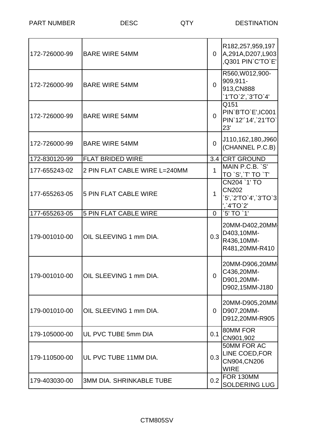| 172-726000-99 | <b>BARE WIRE 54MM</b>           | $\overline{0}$ | R182,257,959,197<br>A,291A,D207,L903<br>,Q301 PIN'C'TO'E'         |
|---------------|---------------------------------|----------------|-------------------------------------------------------------------|
| 172-726000-99 | <b>BARE WIRE 54MM</b>           | $\Omega$       | R560, W012, 900-<br>909,911-<br>913, CN888<br>`1'TO`2',`3'TO`4'   |
| 172-726000-99 | <b>BARE WIRE 54MM</b>           | $\overline{0}$ | Q151<br>PIN'B'TO'E', IC001<br>PIN'12"14', 21'TO'<br>23'           |
| 172-726000-99 | <b>BARE WIRE 54MM</b>           | 0              | J110,162,180,J960<br>(CHANNEL P.C.B)                              |
| 172-830120-99 | <b>FLAT BRIDED WIRE</b>         | 3.4            | <b>CRT GROUND</b>                                                 |
| 177-655243-02 | 2 PIN FLAT CABLE WIRE L=240MM   | $\mathbf{1}$   | MAIN P.C.B. `S'<br>TO `S', `T' TO `T'                             |
| 177-655263-05 | <b>5 PIN FLAT CABLE WIRE</b>    | 1              | CN204 `1' TO<br><b>CN202</b><br>5', 2'TO'4', 3'TO'3<br>','4'TO'2' |
| 177-655263-05 | <b>5 PIN FLAT CABLE WIRE</b>    | $\Omega$       | `5' TO `1'                                                        |
| 179-001010-00 | OIL SLEEVING 1 mm DIA.          | 0.3            | 20MM-D402,20MM<br>D403,10MM-<br>R436,10MM-<br>R481,20MM-R410      |
|               |                                 | $\overline{0}$ | 20MM-D906,20MM<br>C436,20MM-<br>D901,20MM-<br>D902,15MM-J180      |
| 179-001010-00 | OIL SLEEVING 1 mm DIA.          | $\overline{0}$ | 20MM-D905,20MM<br>D907,20MM-<br>D912,20MM-R905                    |
| 179-105000-00 | UL PVC TUBE 5mm DIA             | 0.1            | 80MM FOR<br>CN901,902                                             |
| 179-110500-00 | UL PVC TUBE 11MM DIA.           | 0.3            | 50MM FOR AC<br>LINE COED, FOR<br>CN904, CN206<br><b>WIRE</b>      |
| 179-403030-00 | <b>3MM DIA. SHRINKABLE TUBE</b> | 0.2            | FOR 130MM<br><b>SOLDERING LUG</b>                                 |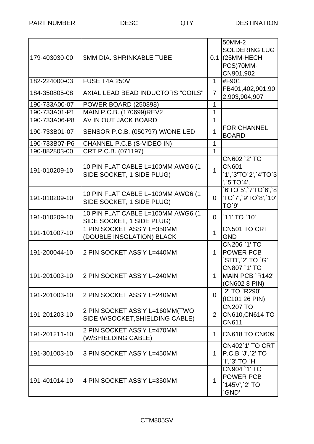| 179-403030-00 | <b>3MM DIA, SHRINKABLE TUBE</b>                                   |                | 50MM-2<br><b>SOLDERING LUG</b><br>$0.1$ (25MM-HECH<br>PCS)70MM-<br>CN901,902 |
|---------------|-------------------------------------------------------------------|----------------|------------------------------------------------------------------------------|
| 182-224000-03 | FUSE T4A 250V                                                     | $\mathbf{1}$   | #F901                                                                        |
| 184-350805-08 | AXIAL LEAD BEAD INDUCTORS "COILS"                                 | $\overline{7}$ | FB401,402,901,90<br>2,903,904,907                                            |
| 190-733A00-07 | <b>POWER BOARD (250898)</b>                                       | 1              |                                                                              |
| 190-733A01-P1 | MAIN P.C.B. (170699)REV2                                          | 1              |                                                                              |
| 190-733A06-P8 | AV IN OUT JACK BOARD                                              | 1              |                                                                              |
| 190-733B01-07 | SENSOR P.C.B. (050797) W/ONE LED                                  | 1              | <b>FOR CHANNEL</b><br><b>BOARD</b>                                           |
| 190-733B07-P6 | CHANNEL P.C.B (S-VIDEO IN)                                        | 1              |                                                                              |
| 190-882803-00 | CRT P.C.B. (071197)                                               | $\mathbf{1}$   |                                                                              |
| 191-010209-10 | 10 PIN FLAT CABLE L=100MM AWG6 (1<br>SIDE SOCKET, 1 SIDE PLUG)    | $\mathbf{1}$   | CN602 `2' TO<br><b>CN601</b><br>`1',`3'TO`2',`4'TO`3<br>$'\$ : 5'TO'4'.      |
| 191-010209-10 | 10 PIN FLAT CABLE L=100MM AWG6 (1<br>SIDE SOCKET, 1 SIDE PLUG)    | 0              | 6'TO'5','7'TO'6','8<br>'TO`7',`9'TO`8',`10'<br>TO'9'                         |
| 191-010209-10 | 10 PIN FLAT CABLE L=100MM AWG6 (1<br>SIDE SOCKET, 1 SIDE PLUG)    | 0              | `11' TO `10'                                                                 |
| 191-101007-10 | 1 PIN SOCKET ASS'Y L=350MM<br>(DOUBLE INSOLATION) BLACK           | $\mathbf{1}$   | CN501 TO CRT<br><b>GND</b>                                                   |
| 191-200044-10 | 2 PIN SOCKET ASS'Y L=440MM                                        | 1              | CN206 `1' TO<br><b>POWER PCB</b><br>`STD',`2' TO `G'                         |
| 191-201003-10 | 2 PIN SOCKET ASS'Y L=240MM                                        | 1.             | <b>CN807 `1' TO</b><br>MAIN PCB `R142'<br>(CN602 8 PIN)                      |
| 191-201003-10 | 2 PIN SOCKET ASS'Y L=240MM                                        | $\overline{0}$ | `2' TO `R290'<br>(IC101 26 PIN)                                              |
| 191-201203-10 | 2 PIN SOCKET ASS'Y L=160MM(TWO<br>SIDE W/SOCKET, SHIELDING CABLE) | $\overline{2}$ | <b>CN207 TO</b><br>CN610, CN614 TO<br><b>CN611</b>                           |
| 191-201211-10 | 2 PIN SOCKET ASS'Y L=470MM<br>(W/SHIELDING CABLE)                 | 1              | <b>CN618 TO CN609</b>                                                        |
| 191-301003-10 | 3 PIN SOCKET ASS'Y L=450MM                                        | $\mathbf 1$    | <b>CN402`1' TO CRT</b><br>P.C.B `J', `2' TO<br>`l',`3' TO `H'                |
| 191-401014-10 | 4 PIN SOCKET ASS'Y L=350MM                                        | $\mathbf{1}$   | CN904 `1' TO<br><b>POWER PCB</b><br>`145V',`2' TO<br>GND'                    |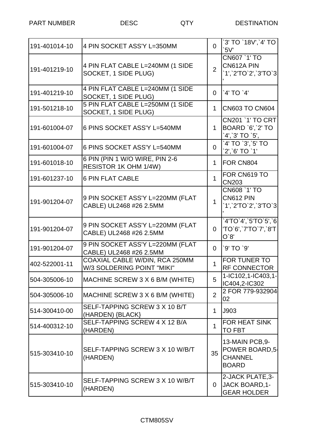PART NUMBER DESC DESTINATION

| 191-401014-10 | 4 PIN SOCKET ASS'Y L=350MM                                   | 0              | 3' TO `18V',`4' TO<br>5V'                                            |
|---------------|--------------------------------------------------------------|----------------|----------------------------------------------------------------------|
| 191-401219-10 | 4 PIN FLAT CABLE L=240MM (1 SIDE<br>SOCKET, 1 SIDE PLUG)     | $\overline{2}$ | CN607 `1' TO<br>CN612A PIN<br>`1',`2'TO`2',`3'TO`3                   |
| 191-401219-10 | 4 PIN FLAT CABLE L=240MM (1 SIDE<br>SOCKET, 1 SIDE PLUG)     | 0              | `4' TO `4'                                                           |
| 191-501218-10 | 5 PIN FLAT CABLE L=250MM (1 SIDE<br>SOCKET, 1 SIDE PLUG)     | $\mathbf 1$    | <b>CN603 TO CN604</b>                                                |
| 191-601004-07 | 6 PINS SOCKET ASS'Y L=540MM                                  | $\mathbf 1$    | <b>CN201 `1' TO CRT</b><br>BOARD `6', `2' TO<br>$'4', 3'$ TO $'5',$  |
| 191-601004-07 | 6 PINS SOCKET ASS'Y L=540MM                                  | 0              | `4' TO `3', `5' TO<br>`2',`6' TO `1'                                 |
| 191-601018-10 | 6 PIN (PIN 1 W/O WIRE, PIN 2-6<br>RESISTOR 1K OHM 1/4W)      | 1              | FOR CN804                                                            |
| 191-601237-10 | 6 PIN FLAT CABLE                                             | $\mathbf 1$    | FOR CN619 TO<br><b>CN203</b>                                         |
| 191-901204-07 | 9 PIN SOCKET ASS'Y L=220MM (FLAT<br>CABLE) UL2468 #26 2.5MM  | $\mathbf{1}$   | CN608 `1' TO<br><b>CN612 PIN</b><br>`1',`2'TO`2',`3'TO`3             |
| 191-901204-07 | 9 PIN SOCKET ASS'Y L=220MM (FLAT<br>CABLE) UL2468 #26 2.5MM  | $\Omega$       | `4'TO`4',`5'TO`5',`6<br>'TO`6',`7'TO`7',`8'T<br>O'8'                 |
| 191-901204-07 | 9 PIN SOCKET ASS'Y L=220MM (FLAT<br>CABLE) UL2468 #26 2.5MM  | 0              | `9' TO `9'                                                           |
| 402-522001-11 | COAXIAL CABLE W/DIN, RCA 250MM<br>W/3 SOLDERING POINT "MIKI" | 1              | FOR TUNER TO<br><b>RF CONNECTOR</b>                                  |
| 504-305006-10 | MACHINE SCREW 3 X 6 B/M (WHITE)                              | 5              | 1-IC102,1-IC403,1-<br>IC404,2-IC302                                  |
| 504-305006-10 | MACHINE SCREW 3 X 6 B/M (WHITE)                              | 2              | 2 FOR 779-932904<br>02                                               |
| 514-300410-00 | SELF-TAPPING SCREW 3 X 10 B/T<br>(HARDEN) {BLACK}            | $\mathbf{1}$   | J903                                                                 |
| 514-400312-10 | SELF-TAPPING SCREW 4 X 12 B/A<br>(HARDEN)                    | 1              | <b>FOR HEAT SINK</b><br><b>TO FBT</b>                                |
| 515-303410-10 | SELF-TAPPING SCREW 3 X 10 W/B/T<br>(HARDEN)                  | 35             | 13-MAIN PCB, 9-<br>POWER BOARD, 5-<br><b>CHANNEL</b><br><b>BOARD</b> |
| 515-303410-10 | SELF-TAPPING SCREW 3 X 10 W/B/T<br>(HARDEN)                  | $\mathbf{0}$   | 2-JACK PLATE, 3-<br>JACK BOARD, 1-<br><b>GEAR HOLDER</b>             |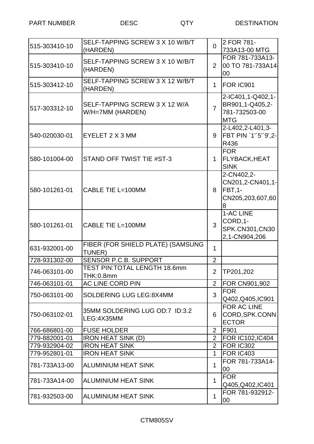| 515-303410-10 | SELF-TAPPING SCREW 3 X 10 W/B/T<br>(HARDEN)        | $\overline{0}$ | 2 FOR 781-<br>733A13-00 MTG                                              |
|---------------|----------------------------------------------------|----------------|--------------------------------------------------------------------------|
| 515-303410-10 | SELF-TAPPING SCREW 3 X 10 W/B/T<br>(HARDEN)        | $\overline{2}$ | FOR 781-733A13-<br>00 TO 781-733A14<br>00                                |
| 515-303412-10 | SELF-TAPPING SCREW 3 X 12 W/B/T<br>(HARDEN)        | $\mathbf 1$    | FOR IC901                                                                |
| 517-303312-10 | SELF-TAPPING SCREW 3 X 12 W/A<br>W/H=7MM (HARDEN)  | $\overline{7}$ | 2-IC401,1-Q402,1-<br>BR901,1-Q405,2-<br>781-732503-00<br><b>MTG</b>      |
| 540-020030-01 | EYELET 2 X 3 MM                                    | 9              | 2-L402,2-L401,3-<br>FBT PIN `1"5"9',2-<br>R436                           |
| 580-101004-00 | STAND OFF TWIST TIE #ST-3                          | $\mathbf 1$    | <b>FOR</b><br><b>FLYBACK, HEAT</b><br><b>SINK</b>                        |
| 580-101261-01 | CABLE TIE L=100MM                                  | 8              | 2-CN402,2-<br>CN201,2-CN401,1-<br><b>FBT,1-</b><br>CN205,203,607,60<br>8 |
| 580-101261-01 | CABLE TIE L=100MM                                  | 3              | 1-AC LINE<br>CORD, 1-<br>SPK.CN301, CN30<br>2,1-CN904,206                |
| 631-932001-00 | FIBER (FOR SHIELD PLATE) (SAMSUNG<br><b>TUNER)</b> | $\mathbf{1}$   |                                                                          |
| 728-931302-00 | <b>SENSOR P.C.B. SUPPORT</b>                       | $\overline{2}$ |                                                                          |
| 746-063101-00 | <b>TEST PIN:TOTAL LENGTH 18.6mm</b><br>THK:0.8mm   | $\overline{2}$ | TP201,202                                                                |
| 746-063101-01 | AC LINE CORD PIN                                   | $\overline{2}$ | FOR CN901,902                                                            |
| 750-063101-00 | <b>SOLDERING LUG LEG:8X4MM</b>                     | 3              | <b>FOR</b><br>Q402, Q405, IC901                                          |
| 750-063102-01 | 35MM SOLDERING LUG OD:7 ID:3.2<br>LEG:4X35MM       | 6              | FOR AC LINE<br>CORD, SPK.CONN<br><b>ECTOR</b>                            |
| 766-686801-00 | <b>FUSE HOLDER</b>                                 | $\overline{2}$ | F901                                                                     |
| 779-882001-01 | <b>IRON HEAT SINK (D)</b>                          | $\overline{2}$ | FOR IC102, IC404                                                         |
| 779-932904-02 | <b>IRON HEAT SINK</b>                              | $\overline{2}$ | FOR IC302                                                                |
| 779-952801-01 | <b>IRON HEAT SINK</b>                              | 1              | FOR IC403                                                                |
| 781-733A13-00 | <b>ALUMINIUM HEAT SINK</b>                         | 1              | FOR 781-733A14-<br>00                                                    |
| 781-733A14-00 | <b>ALUMINIUM HEAT SINK</b>                         | $\mathbf{1}$   | <b>FOR</b><br>Q405, Q402, IC401                                          |
| 781-932503-00 | <b>ALUMINIUM HEAT SINK</b>                         | $\mathbf{1}$   | FOR 781-932912-<br>00                                                    |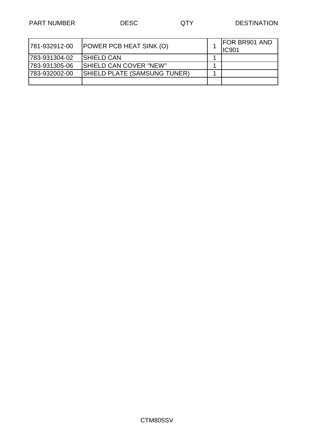| 1781-932912-00 | <b>POWER PCB HEAT SINK (O)</b>      | <b>FOR BR901 AND</b><br><b>IC901</b> |
|----------------|-------------------------------------|--------------------------------------|
| 783-931304-02  | <b>ISHIELD CAN</b>                  |                                      |
| 1783-931305-06 | <b>ISHIELD CAN COVER "NEW"</b>      |                                      |
| 783-932002-00  | <b>SHIELD PLATE (SAMSUNG TUNER)</b> |                                      |
|                |                                     |                                      |